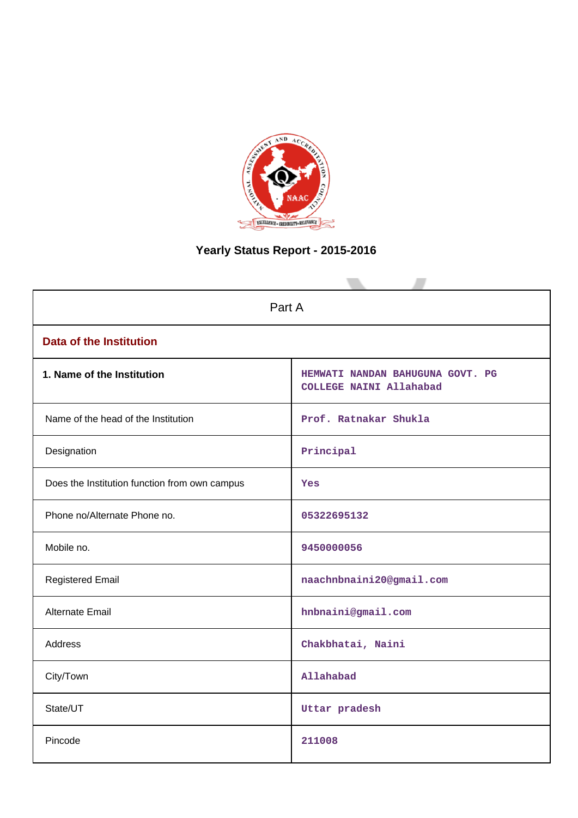

# **Yearly Status Report - 2015-2016**

| Part A                                        |                                                             |  |  |  |
|-----------------------------------------------|-------------------------------------------------------------|--|--|--|
| <b>Data of the Institution</b>                |                                                             |  |  |  |
| 1. Name of the Institution                    | HEMWATI NANDAN BAHUGUNA GOVT. PG<br>COLLEGE NAINI Allahabad |  |  |  |
| Name of the head of the Institution           | Prof. Ratnakar Shukla                                       |  |  |  |
| Designation                                   | Principal                                                   |  |  |  |
| Does the Institution function from own campus | Yes                                                         |  |  |  |
| Phone no/Alternate Phone no.                  | 05322695132                                                 |  |  |  |
| Mobile no.                                    | 9450000056                                                  |  |  |  |
| <b>Registered Email</b>                       | naachnbnaini20@gmail.com                                    |  |  |  |
| Alternate Email                               | hnbnaini@gmail.com                                          |  |  |  |
| <b>Address</b>                                | Chakbhatai, Naini                                           |  |  |  |
| City/Town                                     | Allahabad                                                   |  |  |  |
| State/UT                                      | Uttar pradesh                                               |  |  |  |
| Pincode                                       | 211008                                                      |  |  |  |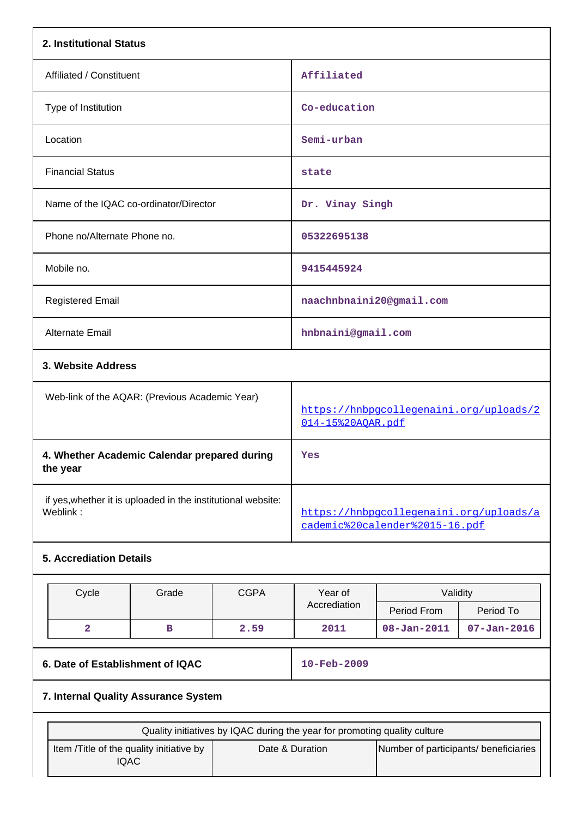| 2. Institutional Status                                                  |                                                                           |             |                                                                           |                                                              |                   |  |  |
|--------------------------------------------------------------------------|---------------------------------------------------------------------------|-------------|---------------------------------------------------------------------------|--------------------------------------------------------------|-------------------|--|--|
| Affiliated / Constituent                                                 |                                                                           |             | Affiliated                                                                |                                                              |                   |  |  |
| Type of Institution                                                      |                                                                           |             | Co-education                                                              |                                                              |                   |  |  |
| Location                                                                 |                                                                           |             | Semi-urban                                                                |                                                              |                   |  |  |
| <b>Financial Status</b>                                                  |                                                                           |             | state                                                                     |                                                              |                   |  |  |
| Name of the IQAC co-ordinator/Director                                   |                                                                           |             | Dr. Vinay Singh                                                           |                                                              |                   |  |  |
| Phone no/Alternate Phone no.                                             |                                                                           |             | 05322695138                                                               |                                                              |                   |  |  |
| Mobile no.                                                               |                                                                           |             | 9415445924                                                                |                                                              |                   |  |  |
| <b>Registered Email</b>                                                  |                                                                           |             |                                                                           | naachnbnaini20@gmail.com                                     |                   |  |  |
| Alternate Email                                                          |                                                                           |             | hnbnaini@gmail.com                                                        |                                                              |                   |  |  |
| 3. Website Address                                                       |                                                                           |             |                                                                           |                                                              |                   |  |  |
|                                                                          | Web-link of the AQAR: (Previous Academic Year)                            |             |                                                                           | https://hnbpgcollegenaini.org/uploads/2<br>014-15%20AQAR.pdf |                   |  |  |
| 4. Whether Academic Calendar prepared during<br>the year                 |                                                                           |             | Yes                                                                       |                                                              |                   |  |  |
| if yes, whether it is uploaded in the institutional website:<br>Weblink: |                                                                           |             | https://hnbpqcolleqenaini.org/uploads/a<br>cademic%20calender%2015-16.pdf |                                                              |                   |  |  |
| <b>5. Accrediation Details</b>                                           |                                                                           |             |                                                                           |                                                              |                   |  |  |
| Cycle                                                                    | Grade                                                                     | <b>CGPA</b> | Year of                                                                   | Validity                                                     |                   |  |  |
|                                                                          |                                                                           |             | Accrediation                                                              | Period From                                                  | Period To         |  |  |
| $\overline{a}$                                                           | в                                                                         | 2.59        | 2011                                                                      | $08 - Jan - 2011$                                            | $07 - Jan - 2016$ |  |  |
| 6. Date of Establishment of IQAC                                         |                                                                           |             | 10-Feb-2009                                                               |                                                              |                   |  |  |
| 7. Internal Quality Assurance System                                     |                                                                           |             |                                                                           |                                                              |                   |  |  |
|                                                                          | Quality initiatives by IQAC during the year for promoting quality culture |             |                                                                           |                                                              |                   |  |  |
| Item /Title of the quality initiative by<br><b>IQAC</b>                  |                                                                           |             | Date & Duration                                                           | Number of participants/ beneficiaries                        |                   |  |  |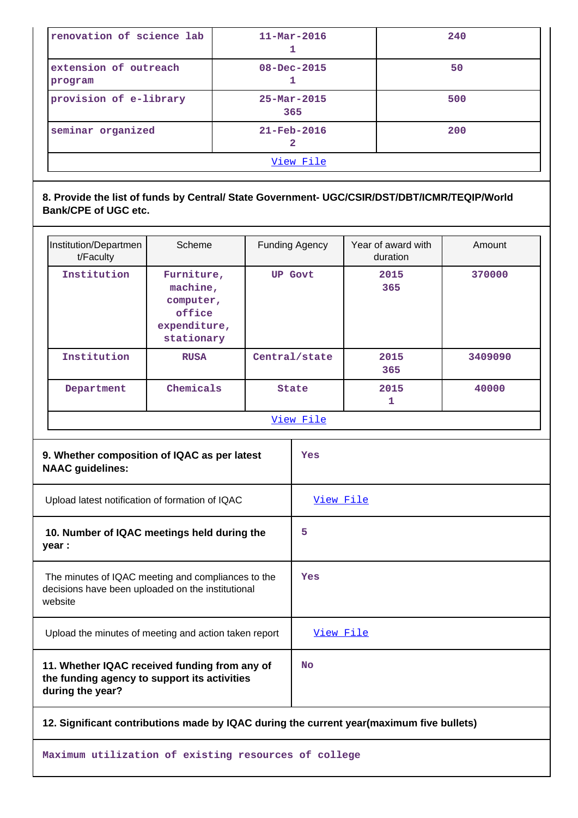| renovation of science lab        | $11 - \text{Mar} - 2016$        | 240 |  |  |  |  |
|----------------------------------|---------------------------------|-----|--|--|--|--|
| extension of outreach<br>program | $08 - Dec - 2015$               | 50  |  |  |  |  |
| provision of e-library           | $25 - \text{Mar} - 2015$<br>365 | 500 |  |  |  |  |
| seminar organized                | $21 - \text{Feb} - 2016$        | 200 |  |  |  |  |
| View File                        |                                 |     |  |  |  |  |

# **8. Provide the list of funds by Central/ State Government- UGC/CSIR/DST/DBT/ICMR/TEQIP/World Bank/CPE of UGC etc.**

| Institution/Departmen<br>t/Faculty                    | Scheme                                                                      |                | Funding Agency | Year of award with<br>duration | Amount  |             |        |
|-------------------------------------------------------|-----------------------------------------------------------------------------|----------------|----------------|--------------------------------|---------|-------------|--------|
| Institution                                           | Furniture,<br>machine,<br>computer,<br>office<br>expenditure,<br>stationary | <b>UP Govt</b> |                |                                |         | 2015<br>365 | 370000 |
| Institution                                           | <b>RUSA</b>                                                                 | Central/state  |                | 2015<br>365                    | 3409090 |             |        |
| Department                                            | Chemicals                                                                   | <b>State</b>   |                | 2015<br>1                      | 40000   |             |        |
|                                                       |                                                                             |                | View File      |                                |         |             |        |
| <b>NAAC guidelines:</b>                               | 9. Whether composition of IQAC as per latest                                |                | Yes            |                                |         |             |        |
| Upload latest notification of formation of IQAC       |                                                                             |                | View File      |                                |         |             |        |
| 10. Number of IQAC meetings held during the<br>year : |                                                                             |                |                |                                |         |             |        |

| The minutes of IQAC meeting and compliances to the<br>decisions have been uploaded on the institutional<br>website | Yes       |
|--------------------------------------------------------------------------------------------------------------------|-----------|
| Upload the minutes of meeting and action taken report                                                              | View File |
| 11. Whether IQAC received funding from any of<br>the funding agency to support its activities<br>during the year?  | <b>No</b> |

### **12. Significant contributions made by IQAC during the current year(maximum five bullets)**

**Maximum utilization of existing resources of college**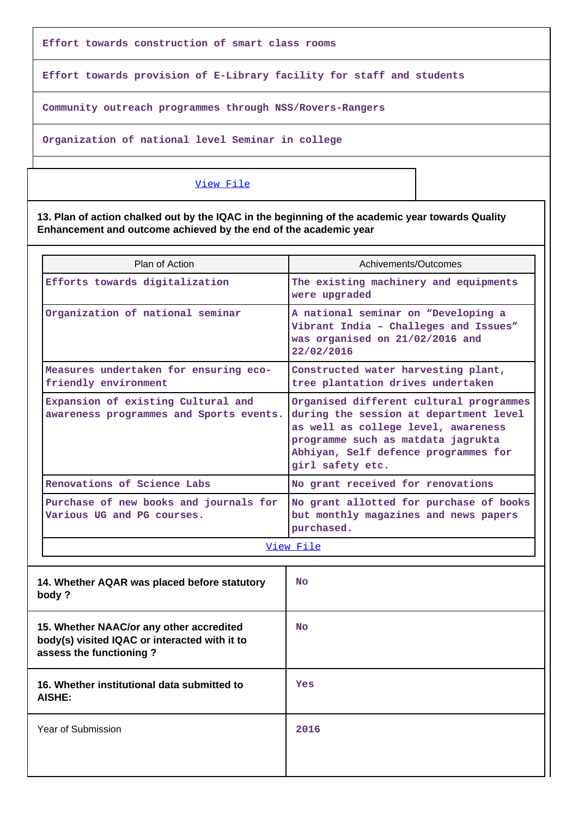**Effort towards construction of smart class rooms**

**Effort towards provision of E-Library facility for staff and students**

**Community outreach programmes through NSS/Rovers-Rangers**

**Organization of national level Seminar in college**

### [View File](https://assessmentonline.naac.gov.in/public/Postacc/Contribution/5197_Contribution.xlsx)

**13. Plan of action chalked out by the IQAC in the beginning of the academic year towards Quality Enhancement and outcome achieved by the end of the academic year**

| Plan of Action                                                                                                       | Achivements/Outcomes                                                                                                                                                                                                       |
|----------------------------------------------------------------------------------------------------------------------|----------------------------------------------------------------------------------------------------------------------------------------------------------------------------------------------------------------------------|
| Efforts towards digitalization                                                                                       | The existing machinery and equipments<br>were upgraded                                                                                                                                                                     |
| Organization of national seminar                                                                                     | A national seminar on "Developing a<br>Vibrant India - Challeges and Issues"<br>was organised on 21/02/2016 and<br>22/02/2016                                                                                              |
| Measures undertaken for ensuring eco-<br>friendly environment                                                        | Constructed water harvesting plant,<br>tree plantation drives undertaken                                                                                                                                                   |
| Expansion of existing Cultural and<br>awareness programmes and Sports events.                                        | Organised different cultural programmes<br>during the session at department level<br>as well as college level, awareness<br>programme such as matdata jagrukta<br>Abhiyan, Self defence programmes for<br>girl safety etc. |
| Renovations of Science Labs                                                                                          | No grant received for renovations                                                                                                                                                                                          |
| Purchase of new books and journals for<br>Various UG and PG courses.                                                 | No grant allotted for purchase of books<br>but monthly magazines and news papers<br>purchased.                                                                                                                             |
|                                                                                                                      | View File                                                                                                                                                                                                                  |
| 14. Whether AQAR was placed before statutory<br>body?                                                                | <b>No</b>                                                                                                                                                                                                                  |
| 15. Whether NAAC/or any other accredited<br>body(s) visited IQAC or interacted with it to<br>assess the functioning? | <b>No</b>                                                                                                                                                                                                                  |
| 16. Whether institutional data submitted to<br>AISHE:                                                                | Yes                                                                                                                                                                                                                        |
| Year of Submission                                                                                                   | 2016                                                                                                                                                                                                                       |
|                                                                                                                      |                                                                                                                                                                                                                            |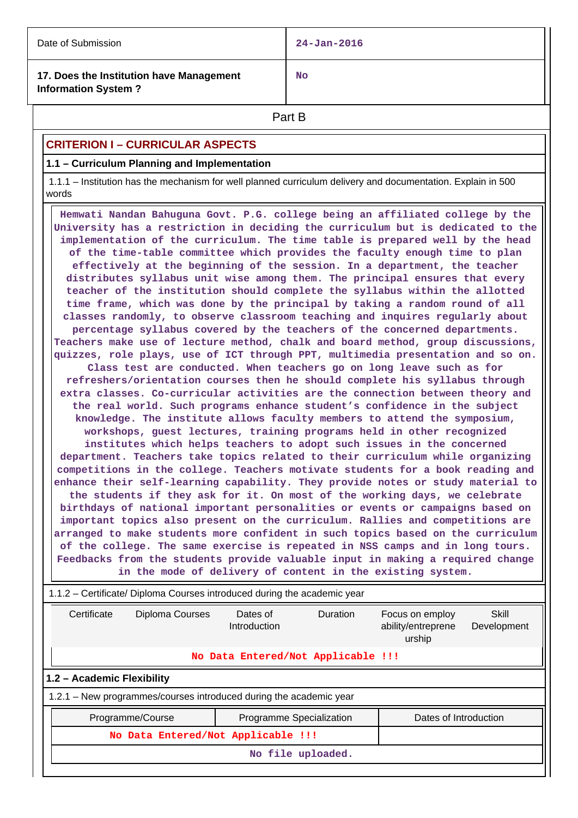| Date of Submission                                                     | $24 - Jan - 2016$ |
|------------------------------------------------------------------------|-------------------|
| 17. Does the Institution have Management<br><b>Information System?</b> | <b>No</b>         |

**Part B** 

# **CRITERION I – CURRICULAR ASPECTS**

### **1.1 – Curriculum Planning and Implementation**

 1.1.1 – Institution has the mechanism for well planned curriculum delivery and documentation. Explain in 500 words

 **Hemwati Nandan Bahuguna Govt. P.G. college being an affiliated college by the University has a restriction in deciding the curriculum but is dedicated to the implementation of the curriculum. The time table is prepared well by the head of the time-table committee which provides the faculty enough time to plan effectively at the beginning of the session. In a department, the teacher distributes syllabus unit wise among them. The principal ensures that every teacher of the institution should complete the syllabus within the allotted time frame, which was done by the principal by taking a random round of all classes randomly, to observe classroom teaching and inquires regularly about percentage syllabus covered by the teachers of the concerned departments. Teachers make use of lecture method, chalk and board method, group discussions, quizzes, role plays, use of ICT through PPT, multimedia presentation and so on. Class test are conducted. When teachers go on long leave such as for refreshers/orientation courses then he should complete his syllabus through extra classes. Co-curricular activities are the connection between theory and the real world. Such programs enhance student's confidence in the subject knowledge. The institute allows faculty members to attend the symposium, workshops, guest lectures, training programs held in other recognized institutes which helps teachers to adopt such issues in the concerned department. Teachers take topics related to their curriculum while organizing competitions in the college. Teachers motivate students for a book reading and enhance their self-learning capability. They provide notes or study material to the students if they ask for it. On most of the working days, we celebrate birthdays of national important personalities or events or campaigns based on important topics also present on the curriculum. Rallies and competitions are arranged to make students more confident in such topics based on the curriculum of the college. The same exercise is repeated in NSS camps and in long tours. Feedbacks from the students provide valuable input in making a required change in the mode of delivery of content in the existing system.**

| 1.1.2 – Certificate/ Diploma Courses introduced during the academic year |                  |                                                                    |                                                 |                       |  |  |  |  |
|--------------------------------------------------------------------------|------------------|--------------------------------------------------------------------|-------------------------------------------------|-----------------------|--|--|--|--|
| Certificate                                                              | Diploma Courses  | <b>Duration</b>                                                    | Focus on employ<br>ability/entreprene<br>urship | Skill<br>Development  |  |  |  |  |
| No Data Entered/Not Applicable !!!                                       |                  |                                                                    |                                                 |                       |  |  |  |  |
| 1.2 - Academic Flexibility                                               |                  |                                                                    |                                                 |                       |  |  |  |  |
|                                                                          |                  | 1.2.1 – New programmes/courses introduced during the academic year |                                                 |                       |  |  |  |  |
|                                                                          | Programme/Course | Programme Specialization                                           |                                                 | Dates of Introduction |  |  |  |  |
| No Data Entered/Not Applicable !!!                                       |                  |                                                                    |                                                 |                       |  |  |  |  |
| No file uploaded.                                                        |                  |                                                                    |                                                 |                       |  |  |  |  |
|                                                                          |                  |                                                                    |                                                 |                       |  |  |  |  |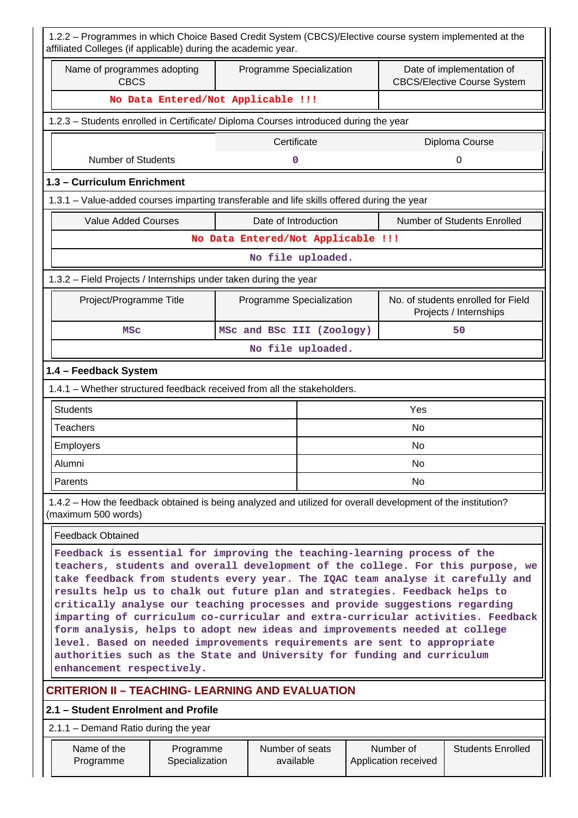| 1.2.2 - Programmes in which Choice Based Credit System (CBCS)/Elective course system implemented at the<br>affiliated Colleges (if applicable) during the academic year.                                                                                                                                                                                                                                                                                                                                                                                                                                                                                                                                                                                        |                                                     |                                    |                              |  |                                   |                                                                 |  |  |
|-----------------------------------------------------------------------------------------------------------------------------------------------------------------------------------------------------------------------------------------------------------------------------------------------------------------------------------------------------------------------------------------------------------------------------------------------------------------------------------------------------------------------------------------------------------------------------------------------------------------------------------------------------------------------------------------------------------------------------------------------------------------|-----------------------------------------------------|------------------------------------|------------------------------|--|-----------------------------------|-----------------------------------------------------------------|--|--|
| Name of programmes adopting<br><b>CBCS</b>                                                                                                                                                                                                                                                                                                                                                                                                                                                                                                                                                                                                                                                                                                                      |                                                     | Programme Specialization           |                              |  |                                   | Date of implementation of<br><b>CBCS/Elective Course System</b> |  |  |
| No Data Entered/Not Applicable !!!                                                                                                                                                                                                                                                                                                                                                                                                                                                                                                                                                                                                                                                                                                                              |                                                     |                                    |                              |  |                                   |                                                                 |  |  |
| 1.2.3 - Students enrolled in Certificate/ Diploma Courses introduced during the year                                                                                                                                                                                                                                                                                                                                                                                                                                                                                                                                                                                                                                                                            |                                                     |                                    |                              |  |                                   |                                                                 |  |  |
|                                                                                                                                                                                                                                                                                                                                                                                                                                                                                                                                                                                                                                                                                                                                                                 |                                                     | Certificate                        |                              |  |                                   | Diploma Course                                                  |  |  |
| <b>Number of Students</b>                                                                                                                                                                                                                                                                                                                                                                                                                                                                                                                                                                                                                                                                                                                                       |                                                     |                                    | 0                            |  |                                   | 0                                                               |  |  |
| 1.3 - Curriculum Enrichment                                                                                                                                                                                                                                                                                                                                                                                                                                                                                                                                                                                                                                                                                                                                     |                                                     |                                    |                              |  |                                   |                                                                 |  |  |
| 1.3.1 - Value-added courses imparting transferable and life skills offered during the year                                                                                                                                                                                                                                                                                                                                                                                                                                                                                                                                                                                                                                                                      |                                                     |                                    |                              |  |                                   |                                                                 |  |  |
| <b>Value Added Courses</b>                                                                                                                                                                                                                                                                                                                                                                                                                                                                                                                                                                                                                                                                                                                                      |                                                     | Date of Introduction               |                              |  |                                   | Number of Students Enrolled                                     |  |  |
|                                                                                                                                                                                                                                                                                                                                                                                                                                                                                                                                                                                                                                                                                                                                                                 |                                                     | No Data Entered/Not Applicable !!! |                              |  |                                   |                                                                 |  |  |
| No file uploaded.                                                                                                                                                                                                                                                                                                                                                                                                                                                                                                                                                                                                                                                                                                                                               |                                                     |                                    |                              |  |                                   |                                                                 |  |  |
| 1.3.2 - Field Projects / Internships under taken during the year                                                                                                                                                                                                                                                                                                                                                                                                                                                                                                                                                                                                                                                                                                |                                                     |                                    |                              |  |                                   |                                                                 |  |  |
|                                                                                                                                                                                                                                                                                                                                                                                                                                                                                                                                                                                                                                                                                                                                                                 | Project/Programme Title<br>Programme Specialization |                                    |                              |  |                                   | No. of students enrolled for Field<br>Projects / Internships    |  |  |
| <b>MSC</b>                                                                                                                                                                                                                                                                                                                                                                                                                                                                                                                                                                                                                                                                                                                                                      |                                                     | MSc and BSc III (Zoology)          |                              |  |                                   | 50                                                              |  |  |
| No file uploaded.                                                                                                                                                                                                                                                                                                                                                                                                                                                                                                                                                                                                                                                                                                                                               |                                                     |                                    |                              |  |                                   |                                                                 |  |  |
| 1.4 - Feedback System                                                                                                                                                                                                                                                                                                                                                                                                                                                                                                                                                                                                                                                                                                                                           |                                                     |                                    |                              |  |                                   |                                                                 |  |  |
| 1.4.1 - Whether structured feedback received from all the stakeholders.                                                                                                                                                                                                                                                                                                                                                                                                                                                                                                                                                                                                                                                                                         |                                                     |                                    |                              |  |                                   |                                                                 |  |  |
| <b>Students</b>                                                                                                                                                                                                                                                                                                                                                                                                                                                                                                                                                                                                                                                                                                                                                 |                                                     |                                    |                              |  | Yes                               |                                                                 |  |  |
| <b>Teachers</b>                                                                                                                                                                                                                                                                                                                                                                                                                                                                                                                                                                                                                                                                                                                                                 |                                                     |                                    |                              |  | No                                |                                                                 |  |  |
| Employers                                                                                                                                                                                                                                                                                                                                                                                                                                                                                                                                                                                                                                                                                                                                                       |                                                     |                                    |                              |  | No                                |                                                                 |  |  |
| Alumni                                                                                                                                                                                                                                                                                                                                                                                                                                                                                                                                                                                                                                                                                                                                                          |                                                     |                                    |                              |  | No                                |                                                                 |  |  |
| Parents                                                                                                                                                                                                                                                                                                                                                                                                                                                                                                                                                                                                                                                                                                                                                         |                                                     |                                    |                              |  | No.                               |                                                                 |  |  |
| 1.4.2 – How the feedback obtained is being analyzed and utilized for overall development of the institution?<br>(maximum 500 words)                                                                                                                                                                                                                                                                                                                                                                                                                                                                                                                                                                                                                             |                                                     |                                    |                              |  |                                   |                                                                 |  |  |
| <b>Feedback Obtained</b>                                                                                                                                                                                                                                                                                                                                                                                                                                                                                                                                                                                                                                                                                                                                        |                                                     |                                    |                              |  |                                   |                                                                 |  |  |
| Feedback is essential for improving the teaching-learning process of the<br>teachers, students and overall development of the college. For this purpose, we<br>take feedback from students every year. The IQAC team analyse it carefully and<br>results help us to chalk out future plan and strategies. Feedback helps to<br>critically analyse our teaching processes and provide suggestions regarding<br>imparting of curriculum co-curricular and extra-curricular activities. Feedback<br>form analysis, helps to adopt new ideas and improvements needed at college<br>level. Based on needed improvements requirements are sent to appropriate<br>authorities such as the State and University for funding and curriculum<br>enhancement respectively. |                                                     |                                    |                              |  |                                   |                                                                 |  |  |
| <b>CRITERION II - TEACHING- LEARNING AND EVALUATION</b>                                                                                                                                                                                                                                                                                                                                                                                                                                                                                                                                                                                                                                                                                                         |                                                     |                                    |                              |  |                                   |                                                                 |  |  |
| 2.1 - Student Enrolment and Profile                                                                                                                                                                                                                                                                                                                                                                                                                                                                                                                                                                                                                                                                                                                             |                                                     |                                    |                              |  |                                   |                                                                 |  |  |
| 2.1.1 – Demand Ratio during the year                                                                                                                                                                                                                                                                                                                                                                                                                                                                                                                                                                                                                                                                                                                            |                                                     |                                    |                              |  |                                   |                                                                 |  |  |
| Name of the<br>Programme                                                                                                                                                                                                                                                                                                                                                                                                                                                                                                                                                                                                                                                                                                                                        | Programme<br>Specialization                         |                                    | Number of seats<br>available |  | Number of<br>Application received | <b>Students Enrolled</b>                                        |  |  |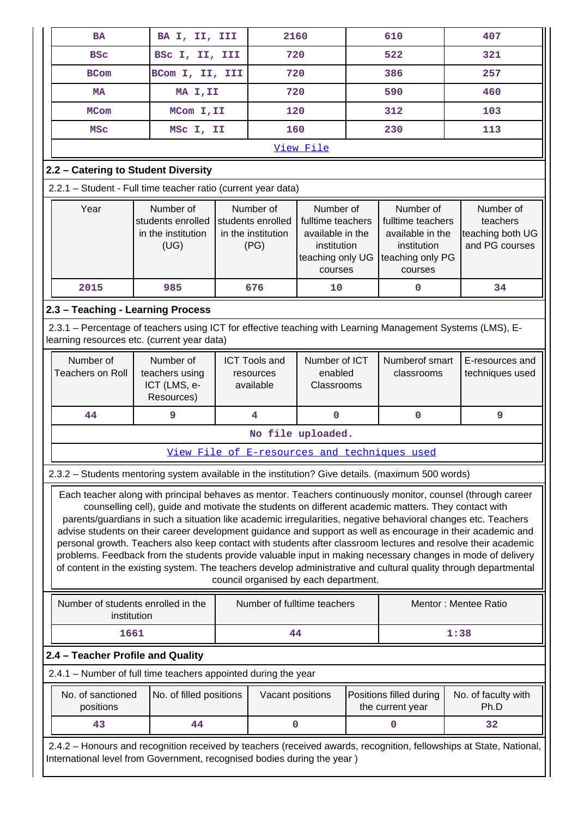| <b>BA</b>                                                                                                  |                                                                                                     | BA I, II, III |                      | 2160                                  |     | 610                                          | 407                                                                                                                 |  |
|------------------------------------------------------------------------------------------------------------|-----------------------------------------------------------------------------------------------------|---------------|----------------------|---------------------------------------|-----|----------------------------------------------|---------------------------------------------------------------------------------------------------------------------|--|
| <b>BSC</b>                                                                                                 | BSC I, II, III                                                                                      |               | 720                  |                                       | 522 |                                              | 321                                                                                                                 |  |
| <b>BCom</b>                                                                                                | BCom I, II, III                                                                                     |               | 720                  |                                       |     | 386                                          | 257                                                                                                                 |  |
| MA                                                                                                         | MA I, II                                                                                            |               | 720                  |                                       |     | 590                                          | 460                                                                                                                 |  |
| <b>MCom</b>                                                                                                | MCom I, II                                                                                          |               | 120                  |                                       |     | 312                                          | 103                                                                                                                 |  |
| <b>MSC</b>                                                                                                 | MSC I, II                                                                                           |               | 160                  |                                       |     | 230                                          | 113                                                                                                                 |  |
|                                                                                                            |                                                                                                     |               | View File            |                                       |     |                                              |                                                                                                                     |  |
| 2.2 - Catering to Student Diversity                                                                        |                                                                                                     |               |                      |                                       |     |                                              |                                                                                                                     |  |
| 2.2.1 - Student - Full time teacher ratio (current year data)                                              |                                                                                                     |               |                      |                                       |     |                                              |                                                                                                                     |  |
| Year                                                                                                       | Number of                                                                                           |               | Number of            | Number of                             |     | Number of                                    | Number of                                                                                                           |  |
|                                                                                                            | students enrolled                                                                                   |               | students enrolled    | fulltime teachers                     |     | fulltime teachers                            | teachers                                                                                                            |  |
|                                                                                                            | in the institution                                                                                  |               | in the institution   | available in the                      |     | available in the                             | teaching both UG                                                                                                    |  |
|                                                                                                            | (UG)                                                                                                |               | (PG)                 | institution                           |     | institution                                  | and PG courses                                                                                                      |  |
|                                                                                                            |                                                                                                     |               |                      | teaching only UG                      |     | teaching only PG                             |                                                                                                                     |  |
|                                                                                                            |                                                                                                     |               |                      | courses                               |     | courses                                      |                                                                                                                     |  |
| 2015                                                                                                       | 985                                                                                                 |               | 676                  | 10                                    |     | $\mathbf 0$                                  | 34                                                                                                                  |  |
| 2.3 - Teaching - Learning Process                                                                          |                                                                                                     |               |                      |                                       |     |                                              |                                                                                                                     |  |
| 2.3.1 - Percentage of teachers using ICT for effective teaching with Learning Management Systems (LMS), E- |                                                                                                     |               |                      |                                       |     |                                              |                                                                                                                     |  |
| learning resources etc. (current year data)                                                                |                                                                                                     |               |                      |                                       |     |                                              |                                                                                                                     |  |
|                                                                                                            |                                                                                                     |               |                      |                                       |     |                                              |                                                                                                                     |  |
| Number of                                                                                                  | Number of                                                                                           |               | <b>ICT Tools and</b> | Number of ICT                         |     | Numberof smart                               | E-resources and                                                                                                     |  |
| <b>Teachers on Roll</b>                                                                                    | teachers using                                                                                      |               | resources            | enabled                               |     | classrooms                                   | techniques used                                                                                                     |  |
|                                                                                                            | ICT (LMS, e-                                                                                        |               | available            | Classrooms                            |     |                                              |                                                                                                                     |  |
|                                                                                                            | Resources)                                                                                          |               |                      |                                       |     |                                              |                                                                                                                     |  |
| 44                                                                                                         | 9                                                                                                   |               | $\overline{4}$       | $\mathbf 0$                           |     | $\pmb{0}$                                    | 9                                                                                                                   |  |
|                                                                                                            |                                                                                                     |               |                      | No file uploaded.                     |     |                                              |                                                                                                                     |  |
|                                                                                                            |                                                                                                     |               |                      |                                       |     | View File of E-resources and techniques used |                                                                                                                     |  |
| 2.3.2 - Students mentoring system available in the institution? Give details. (maximum 500 words)          |                                                                                                     |               |                      |                                       |     |                                              |                                                                                                                     |  |
|                                                                                                            |                                                                                                     |               |                      |                                       |     |                                              | Each teacher along with principal behaves as mentor. Teachers continuously monitor, counsel (through career         |  |
|                                                                                                            | counselling cell), guide and motivate the students on different academic matters. They contact with |               |                      |                                       |     |                                              |                                                                                                                     |  |
|                                                                                                            |                                                                                                     |               |                      |                                       |     |                                              | parents/guardians in such a situation like academic irregularities, negative behavioral changes etc. Teachers       |  |
|                                                                                                            |                                                                                                     |               |                      |                                       |     |                                              | advise students on their career development guidance and support as well as encourage in their academic and         |  |
|                                                                                                            |                                                                                                     |               |                      |                                       |     |                                              | personal growth. Teachers also keep contact with students after classroom lectures and resolve their academic       |  |
|                                                                                                            |                                                                                                     |               |                      |                                       |     |                                              | problems. Feedback from the students provide valuable input in making necessary changes in mode of delivery         |  |
|                                                                                                            |                                                                                                     |               |                      |                                       |     |                                              |                                                                                                                     |  |
|                                                                                                            |                                                                                                     |               |                      | council organised by each department. |     |                                              | of content in the existing system. The teachers develop administrative and cultural quality through departmental    |  |
|                                                                                                            |                                                                                                     |               |                      |                                       |     |                                              |                                                                                                                     |  |
| Number of students enrolled in the                                                                         |                                                                                                     |               |                      | Number of fulltime teachers           |     |                                              | Mentor: Mentee Ratio                                                                                                |  |
| institution                                                                                                |                                                                                                     |               |                      |                                       |     |                                              |                                                                                                                     |  |
| 1661                                                                                                       |                                                                                                     |               | 44                   |                                       |     | 1:38                                         |                                                                                                                     |  |
| 2.4 - Teacher Profile and Quality                                                                          |                                                                                                     |               |                      |                                       |     |                                              |                                                                                                                     |  |
| 2.4.1 - Number of full time teachers appointed during the year                                             |                                                                                                     |               |                      |                                       |     |                                              |                                                                                                                     |  |
|                                                                                                            |                                                                                                     |               |                      |                                       |     |                                              |                                                                                                                     |  |
| No. of sanctioned<br>No. of filled positions<br>positions                                                  |                                                                                                     |               |                      | Vacant positions                      |     | Positions filled during<br>the current year  | No. of faculty with<br>Ph.D                                                                                         |  |
|                                                                                                            |                                                                                                     |               |                      |                                       |     |                                              |                                                                                                                     |  |
| 43                                                                                                         | 44                                                                                                  |               | 0                    |                                       |     | 0                                            | 32                                                                                                                  |  |
|                                                                                                            |                                                                                                     |               |                      |                                       |     |                                              | 2.4.2 - Honours and recognition received by teachers (received awards, recognition, fellowships at State, National, |  |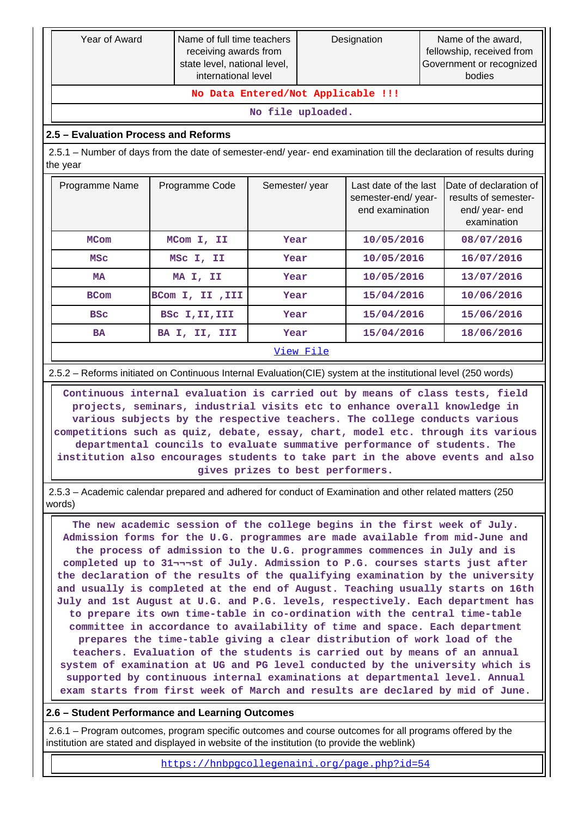| Year of Award                                                                                                                                                                                                                                                                                                                                                                                                                                                                                                                                                                                                                                 | Name of full time teachers<br>receiving awards from<br>state level, national level,<br>international level |               | Designation |                                                                |  | Name of the award,<br>fellowship, received from<br>Government or recognized<br>bodies |  |            |
|-----------------------------------------------------------------------------------------------------------------------------------------------------------------------------------------------------------------------------------------------------------------------------------------------------------------------------------------------------------------------------------------------------------------------------------------------------------------------------------------------------------------------------------------------------------------------------------------------------------------------------------------------|------------------------------------------------------------------------------------------------------------|---------------|-------------|----------------------------------------------------------------|--|---------------------------------------------------------------------------------------|--|------------|
| No Data Entered/Not Applicable !!!                                                                                                                                                                                                                                                                                                                                                                                                                                                                                                                                                                                                            |                                                                                                            |               |             |                                                                |  |                                                                                       |  |            |
| No file uploaded.                                                                                                                                                                                                                                                                                                                                                                                                                                                                                                                                                                                                                             |                                                                                                            |               |             |                                                                |  |                                                                                       |  |            |
| 2.5 - Evaluation Process and Reforms                                                                                                                                                                                                                                                                                                                                                                                                                                                                                                                                                                                                          |                                                                                                            |               |             |                                                                |  |                                                                                       |  |            |
| 2.5.1 – Number of days from the date of semester-end/ year- end examination till the declaration of results during<br>the year                                                                                                                                                                                                                                                                                                                                                                                                                                                                                                                |                                                                                                            |               |             |                                                                |  |                                                                                       |  |            |
| Programme Name                                                                                                                                                                                                                                                                                                                                                                                                                                                                                                                                                                                                                                | Programme Code                                                                                             | Semester/year |             | Last date of the last<br>semester-end/year-<br>end examination |  | Date of declaration of<br>results of semester-<br>end/year-end<br>examination         |  |            |
| <b>MCom</b>                                                                                                                                                                                                                                                                                                                                                                                                                                                                                                                                                                                                                                   | MCom I, II                                                                                                 | Year          |             | 10/05/2016                                                     |  | 08/07/2016                                                                            |  |            |
| <b>MSC</b>                                                                                                                                                                                                                                                                                                                                                                                                                                                                                                                                                                                                                                    | MSC I, II                                                                                                  | Year          |             | 10/05/2016                                                     |  | 16/07/2016                                                                            |  |            |
| <b>MA</b>                                                                                                                                                                                                                                                                                                                                                                                                                                                                                                                                                                                                                                     | MA I, II                                                                                                   | Year          |             |                                                                |  | 10/05/2016                                                                            |  | 13/07/2016 |
| <b>BCom</b>                                                                                                                                                                                                                                                                                                                                                                                                                                                                                                                                                                                                                                   | BCom I, II , III                                                                                           | Year          |             | 15/04/2016                                                     |  | 10/06/2016                                                                            |  |            |
| <b>BSC</b>                                                                                                                                                                                                                                                                                                                                                                                                                                                                                                                                                                                                                                    | BSc I, II, III                                                                                             | Year          |             | 15/04/2016                                                     |  | 15/06/2016                                                                            |  |            |
| <b>BA</b>                                                                                                                                                                                                                                                                                                                                                                                                                                                                                                                                                                                                                                     | BA I, II, III                                                                                              | Year          |             | 15/04/2016                                                     |  | 18/06/2016                                                                            |  |            |
|                                                                                                                                                                                                                                                                                                                                                                                                                                                                                                                                                                                                                                               |                                                                                                            |               | View File   |                                                                |  |                                                                                       |  |            |
|                                                                                                                                                                                                                                                                                                                                                                                                                                                                                                                                                                                                                                               |                                                                                                            |               |             |                                                                |  |                                                                                       |  |            |
| 2.5.2 - Reforms initiated on Continuous Internal Evaluation(CIE) system at the institutional level (250 words)<br>Continuous internal evaluation is carried out by means of class tests, field<br>projects, seminars, industrial visits etc to enhance overall knowledge in<br>various subjects by the respective teachers. The college conducts various<br>competitions such as quiz, debate, essay, chart, model etc. through its various<br>departmental councils to evaluate summative performance of students. The<br>institution also encourages students to take part in the above events and also<br>gives prizes to best performers. |                                                                                                            |               |             |                                                                |  |                                                                                       |  |            |
| 2.5.3 - Academic calendar prepared and adhered for conduct of Examination and other related matters (250<br>words)                                                                                                                                                                                                                                                                                                                                                                                                                                                                                                                            |                                                                                                            |               |             |                                                                |  |                                                                                       |  |            |

 **The new academic session of the college begins in the first week of July. Admission forms for the U.G. programmes are made available from mid-June and the process of admission to the U.G. programmes commences in July and is completed up to 31¬¬¬st of July. Admission to P.G. courses starts just after the declaration of the results of the qualifying examination by the university and usually is completed at the end of August. Teaching usually starts on 16th July and 1st August at U.G. and P.G. levels, respectively. Each department has to prepare its own time-table in co-ordination with the central time-table committee in accordance to availability of time and space. Each department prepares the time-table giving a clear distribution of work load of the teachers. Evaluation of the students is carried out by means of an annual system of examination at UG and PG level conducted by the university which is supported by continuous internal examinations at departmental level. Annual exam starts from first week of March and results are declared by mid of June.**

#### **2.6 – Student Performance and Learning Outcomes**

 2.6.1 – Program outcomes, program specific outcomes and course outcomes for all programs offered by the institution are stated and displayed in website of the institution (to provide the weblink)

<https://hnbpgcollegenaini.org/page.php?id=54>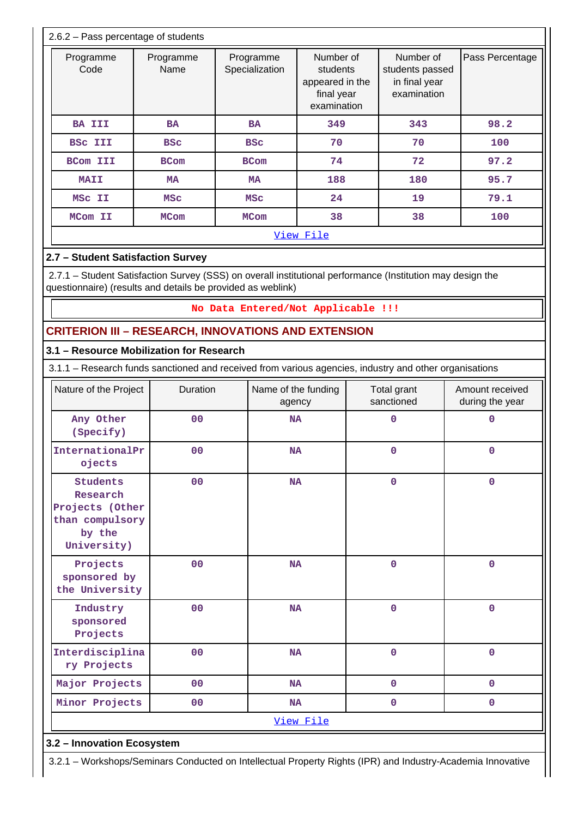|                  | 2.6.2 - Pass percentage of students |                         |                             |                                                                       |                                                              |                 |  |  |  |
|------------------|-------------------------------------|-------------------------|-----------------------------|-----------------------------------------------------------------------|--------------------------------------------------------------|-----------------|--|--|--|
|                  | Programme<br>Code                   | Programme<br>Name       | Programme<br>Specialization | Number of<br>students<br>appeared in the<br>final year<br>examination | Number of<br>students passed<br>in final year<br>examination | Pass Percentage |  |  |  |
|                  | <b>BA III</b>                       | <b>BA</b>               | <b>BA</b>                   | 349                                                                   | 343                                                          | 98.2            |  |  |  |
|                  | <b>BSC III</b>                      | <b>BSC</b>              | <b>BSC</b>                  | 70                                                                    | 70                                                           | 100             |  |  |  |
|                  | <b>BCom III</b>                     | <b>BCom</b>             | <b>BCom</b>                 | 74                                                                    | 72                                                           | 97.2            |  |  |  |
|                  | <b>MAII</b>                         | <b>MA</b><br><b>MSC</b> |                             | 188                                                                   | 180                                                          | 95.7            |  |  |  |
|                  | MSC II                              |                         |                             | 24                                                                    | 19                                                           | 79.1            |  |  |  |
|                  | MCom II<br><b>MCom</b>              |                         | <b>MCom</b>                 | 38                                                                    | 38                                                           | 100             |  |  |  |
| <u>View File</u> |                                     |                         |                             |                                                                       |                                                              |                 |  |  |  |

# **2.7 – Student Satisfaction Survey**

 2.7.1 – Student Satisfaction Survey (SSS) on overall institutional performance (Institution may design the questionnaire) (results and details be provided as weblink)

### **No Data Entered/Not Applicable !!!**

# **CRITERION III – RESEARCH, INNOVATIONS AND EXTENSION**

### **3.1 – Resource Mobilization for Research**

3.1.1 – Research funds sanctioned and received from various agencies, industry and other organisations

| Nature of the Project                                                                      | Duration       | Name of the funding<br>agency | Total grant<br>sanctioned | Amount received<br>during the year |
|--------------------------------------------------------------------------------------------|----------------|-------------------------------|---------------------------|------------------------------------|
| Any Other<br>(Specify)                                                                     | 00             | <b>NA</b>                     | $\mathbf 0$               | $\mathbf 0$                        |
| InternationalPr<br>ojects                                                                  | 00             | <b>NA</b>                     | 0                         | $\mathbf 0$                        |
| <b>Students</b><br>Research<br>Projects (Other<br>than compulsory<br>by the<br>University) | 00             | <b>NA</b>                     | $\mathbf 0$               | $\mathbf 0$                        |
| Projects<br>sponsored by<br>the University                                                 | 0 <sub>0</sub> | <b>NA</b>                     | $\mathbf 0$               | $\mathbf 0$                        |
| Industry<br>sponsored<br>Projects                                                          | 00             | <b>NA</b>                     | $\mathbf 0$               | $\mathbf 0$                        |
| Interdisciplina<br>ry Projects                                                             | 00             | <b>NA</b>                     | $\mathbf 0$               | $\mathbf 0$                        |
| Major Projects                                                                             | 00             | <b>NA</b>                     | $\mathbf 0$               | $\mathbf{O}$                       |
| Minor Projects                                                                             | 00             | <b>NA</b>                     | 0                         | $\mathbf 0$                        |
|                                                                                            |                | View File                     |                           |                                    |

### **3.2 – Innovation Ecosystem**

3.2.1 – Workshops/Seminars Conducted on Intellectual Property Rights (IPR) and Industry-Academia Innovative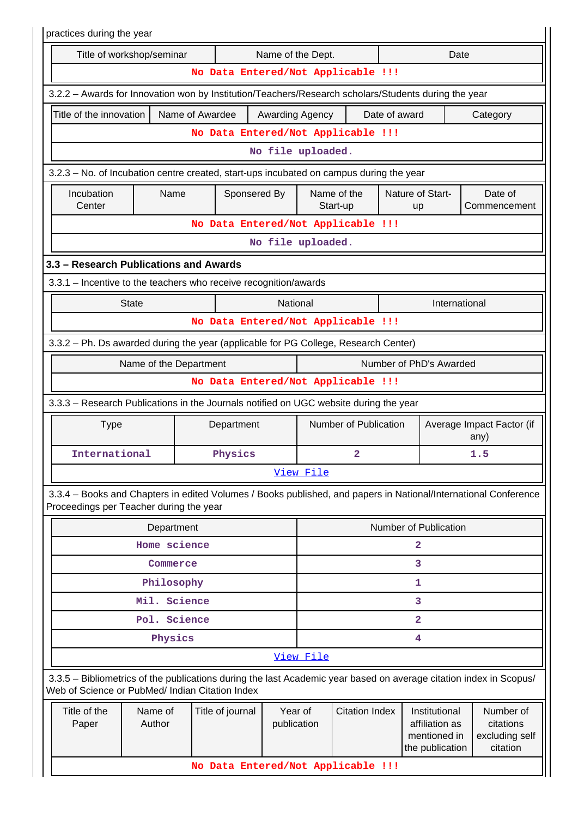| practices during the year                                                                            |                                                   |                 |                  |                   |                        |                                    |               |                                                                    |                                                                                                                    |  |  |
|------------------------------------------------------------------------------------------------------|---------------------------------------------------|-----------------|------------------|-------------------|------------------------|------------------------------------|---------------|--------------------------------------------------------------------|--------------------------------------------------------------------------------------------------------------------|--|--|
|                                                                                                      | Title of workshop/seminar                         |                 |                  | Name of the Dept. |                        |                                    |               | Date                                                               |                                                                                                                    |  |  |
|                                                                                                      |                                                   |                 |                  |                   |                        | No Data Entered/Not Applicable !!! |               |                                                                    |                                                                                                                    |  |  |
| 3.2.2 - Awards for Innovation won by Institution/Teachers/Research scholars/Students during the year |                                                   |                 |                  |                   |                        |                                    |               |                                                                    |                                                                                                                    |  |  |
| Title of the innovation                                                                              |                                                   | Name of Awardee |                  | Awarding Agency   |                        |                                    | Date of award |                                                                    | Category                                                                                                           |  |  |
|                                                                                                      |                                                   |                 |                  |                   |                        | No Data Entered/Not Applicable !!! |               |                                                                    |                                                                                                                    |  |  |
|                                                                                                      |                                                   |                 |                  | No file uploaded. |                        |                                    |               |                                                                    |                                                                                                                    |  |  |
| 3.2.3 – No. of Incubation centre created, start-ups incubated on campus during the year              |                                                   |                 |                  |                   |                        |                                    |               |                                                                    |                                                                                                                    |  |  |
| Incubation<br>Center                                                                                 | Name                                              |                 | Sponsered By     |                   |                        | Name of the<br>Start-up            |               | Nature of Start-<br>up                                             | Date of<br>Commencement                                                                                            |  |  |
|                                                                                                      |                                                   |                 |                  |                   |                        | No Data Entered/Not Applicable !!! |               |                                                                    |                                                                                                                    |  |  |
|                                                                                                      |                                                   |                 |                  | No file uploaded. |                        |                                    |               |                                                                    |                                                                                                                    |  |  |
| 3.3 - Research Publications and Awards                                                               |                                                   |                 |                  |                   |                        |                                    |               |                                                                    |                                                                                                                    |  |  |
| 3.3.1 - Incentive to the teachers who receive recognition/awards                                     |                                                   |                 |                  |                   |                        |                                    |               |                                                                    |                                                                                                                    |  |  |
|                                                                                                      | <b>State</b>                                      |                 |                  | National          |                        |                                    |               | International                                                      |                                                                                                                    |  |  |
|                                                                                                      |                                                   |                 |                  |                   |                        | No Data Entered/Not Applicable !!! |               |                                                                    |                                                                                                                    |  |  |
| 3.3.2 - Ph. Ds awarded during the year (applicable for PG College, Research Center)                  |                                                   |                 |                  |                   |                        |                                    |               |                                                                    |                                                                                                                    |  |  |
|                                                                                                      | Number of PhD's Awarded<br>Name of the Department |                 |                  |                   |                        |                                    |               |                                                                    |                                                                                                                    |  |  |
|                                                                                                      |                                                   |                 |                  |                   |                        | No Data Entered/Not Applicable !!! |               |                                                                    |                                                                                                                    |  |  |
| 3.3.3 - Research Publications in the Journals notified on UGC website during the year                |                                                   |                 |                  |                   |                        |                                    |               |                                                                    |                                                                                                                    |  |  |
| <b>Type</b>                                                                                          |                                                   |                 | Department       |                   | Number of Publication  |                                    |               |                                                                    | Average Impact Factor (if<br>any)                                                                                  |  |  |
| International                                                                                        |                                                   |                 | Physics          |                   | 2                      |                                    |               | 1.5                                                                |                                                                                                                    |  |  |
|                                                                                                      |                                                   |                 |                  |                   | View File              |                                    |               |                                                                    |                                                                                                                    |  |  |
| Proceedings per Teacher during the year                                                              |                                                   |                 |                  |                   |                        |                                    |               |                                                                    | 3.3.4 – Books and Chapters in edited Volumes / Books published, and papers in National/International Conference    |  |  |
|                                                                                                      | Department                                        |                 |                  |                   |                        |                                    |               | Number of Publication                                              |                                                                                                                    |  |  |
|                                                                                                      | Home science                                      |                 |                  |                   |                        |                                    |               | $\mathbf{2}$                                                       |                                                                                                                    |  |  |
|                                                                                                      | Commerce                                          |                 |                  |                   |                        |                                    |               | 3                                                                  |                                                                                                                    |  |  |
|                                                                                                      | Philosophy                                        |                 |                  |                   |                        |                                    |               | 1                                                                  |                                                                                                                    |  |  |
|                                                                                                      | Mil. Science                                      |                 |                  |                   |                        |                                    |               | 3                                                                  |                                                                                                                    |  |  |
|                                                                                                      | Pol. Science                                      |                 |                  |                   |                        |                                    |               | $\overline{2}$                                                     |                                                                                                                    |  |  |
|                                                                                                      | Physics                                           |                 |                  |                   |                        |                                    |               | $\overline{\mathbf{4}}$                                            |                                                                                                                    |  |  |
|                                                                                                      |                                                   |                 |                  |                   | View File              |                                    |               |                                                                    |                                                                                                                    |  |  |
| Web of Science or PubMed/ Indian Citation Index                                                      |                                                   |                 |                  |                   |                        |                                    |               |                                                                    | 3.3.5 - Bibliometrics of the publications during the last Academic year based on average citation index in Scopus/ |  |  |
| Title of the<br>Paper                                                                                | Name of<br>Author                                 |                 | Title of journal |                   | Year of<br>publication | <b>Citation Index</b>              |               | Institutional<br>affiliation as<br>mentioned in<br>the publication | Number of<br>citations<br>excluding self<br>citation                                                               |  |  |
|                                                                                                      |                                                   |                 |                  |                   |                        | No Data Entered/Not Applicable !!! |               |                                                                    |                                                                                                                    |  |  |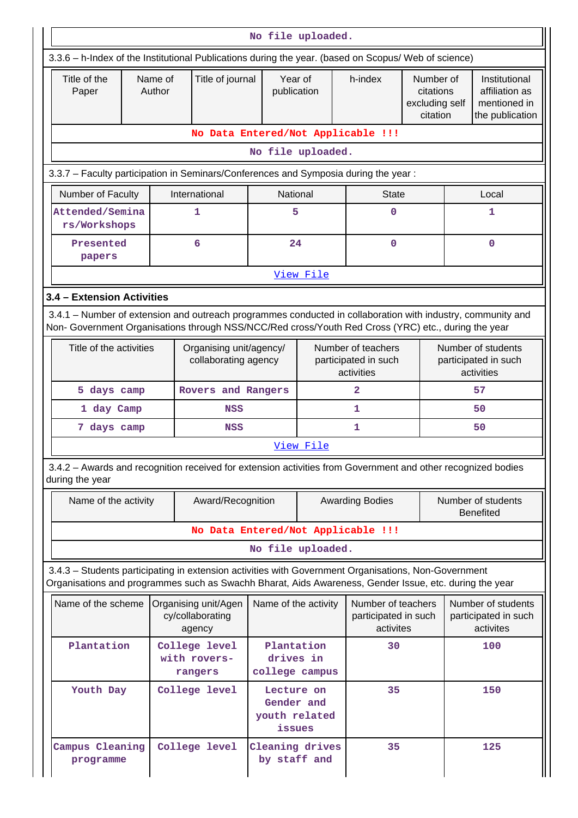|                                                                                                                                                                                                                    | No file uploaded.  |                                                    |                                           |                                                     |                                                          |                                                      |     |                                                                    |  |  |  |
|--------------------------------------------------------------------------------------------------------------------------------------------------------------------------------------------------------------------|--------------------|----------------------------------------------------|-------------------------------------------|-----------------------------------------------------|----------------------------------------------------------|------------------------------------------------------|-----|--------------------------------------------------------------------|--|--|--|
| 3.3.6 - h-Index of the Institutional Publications during the year. (based on Scopus/ Web of science)                                                                                                               |                    |                                                    |                                           |                                                     |                                                          |                                                      |     |                                                                    |  |  |  |
| Title of the<br>Paper                                                                                                                                                                                              | Name of<br>Author  | Title of journal                                   | Year of<br>publication                    |                                                     | h-index                                                  | Number of<br>citations<br>excluding self<br>citation |     | Institutional<br>affiliation as<br>mentioned in<br>the publication |  |  |  |
|                                                                                                                                                                                                                    |                    | No Data Entered/Not Applicable !!!                 |                                           |                                                     |                                                          |                                                      |     |                                                                    |  |  |  |
|                                                                                                                                                                                                                    |                    |                                                    | No file uploaded.                         |                                                     |                                                          |                                                      |     |                                                                    |  |  |  |
| 3.3.7 - Faculty participation in Seminars/Conferences and Symposia during the year:                                                                                                                                |                    |                                                    |                                           |                                                     |                                                          |                                                      |     |                                                                    |  |  |  |
| Number of Faculty                                                                                                                                                                                                  |                    | International                                      | National                                  |                                                     | <b>State</b>                                             |                                                      |     | Local                                                              |  |  |  |
| Attended/Semina<br>rs/Workshops                                                                                                                                                                                    |                    | 1                                                  | 5                                         |                                                     | $\mathbf 0$                                              |                                                      |     | 1                                                                  |  |  |  |
| Presented<br>papers                                                                                                                                                                                                |                    | 6                                                  | 24                                        |                                                     | 0                                                        |                                                      |     | $\mathbf 0$                                                        |  |  |  |
|                                                                                                                                                                                                                    |                    |                                                    |                                           | View File                                           |                                                          |                                                      |     |                                                                    |  |  |  |
| 3.4 - Extension Activities                                                                                                                                                                                         |                    |                                                    |                                           |                                                     |                                                          |                                                      |     |                                                                    |  |  |  |
| 3.4.1 – Number of extension and outreach programmes conducted in collaboration with industry, community and<br>Non- Government Organisations through NSS/NCC/Red cross/Youth Red Cross (YRC) etc., during the year |                    |                                                    |                                           |                                                     |                                                          |                                                      |     |                                                                    |  |  |  |
| Title of the activities                                                                                                                                                                                            |                    | Organising unit/agency/<br>collaborating agency    |                                           |                                                     | Number of teachers<br>participated in such<br>activities |                                                      |     | Number of students<br>participated in such<br>activities           |  |  |  |
| 5 days camp                                                                                                                                                                                                        | Rovers and Rangers |                                                    |                                           | 2                                                   |                                                          |                                                      | 57  |                                                                    |  |  |  |
| 1 day Camp                                                                                                                                                                                                         |                    |                                                    |                                           |                                                     | 1                                                        |                                                      |     | 50                                                                 |  |  |  |
| 7 days camp                                                                                                                                                                                                        |                    | <b>NSS</b>                                         |                                           |                                                     | 1                                                        |                                                      |     | 50                                                                 |  |  |  |
|                                                                                                                                                                                                                    |                    |                                                    |                                           | View File                                           |                                                          |                                                      |     |                                                                    |  |  |  |
| 3.4.2 - Awards and recognition received for extension activities from Government and other recognized bodies<br>during the year                                                                                    |                    |                                                    |                                           |                                                     |                                                          |                                                      |     |                                                                    |  |  |  |
| Name of the activity                                                                                                                                                                                               |                    | Award/Recognition                                  |                                           |                                                     | <b>Awarding Bodies</b>                                   |                                                      |     | Number of students<br><b>Benefited</b>                             |  |  |  |
|                                                                                                                                                                                                                    |                    | No Data Entered/Not Applicable !!!                 |                                           |                                                     |                                                          |                                                      |     |                                                                    |  |  |  |
|                                                                                                                                                                                                                    |                    |                                                    | No file uploaded.                         |                                                     |                                                          |                                                      |     |                                                                    |  |  |  |
| 3.4.3 - Students participating in extension activities with Government Organisations, Non-Government<br>Organisations and programmes such as Swachh Bharat, Aids Awareness, Gender Issue, etc. during the year     |                    |                                                    |                                           |                                                     |                                                          |                                                      |     |                                                                    |  |  |  |
| Name of the scheme                                                                                                                                                                                                 |                    | Organising unit/Agen<br>cy/collaborating<br>agency |                                           | Name of the activity                                | Number of teachers<br>participated in such<br>activites  |                                                      |     | Number of students<br>participated in such<br>activites            |  |  |  |
| Plantation                                                                                                                                                                                                         |                    | College level<br>with rovers-<br>rangers           | Plantation<br>drives in<br>college campus |                                                     | 30                                                       |                                                      |     | 100                                                                |  |  |  |
| Youth Day                                                                                                                                                                                                          | College level      |                                                    |                                           | Lecture on<br>Gender and<br>youth related<br>issues |                                                          |                                                      | 150 |                                                                    |  |  |  |
| Campus Cleaning<br>programme                                                                                                                                                                                       |                    | College level                                      | Cleaning drives<br>by staff and           |                                                     | 35                                                       |                                                      |     | 125                                                                |  |  |  |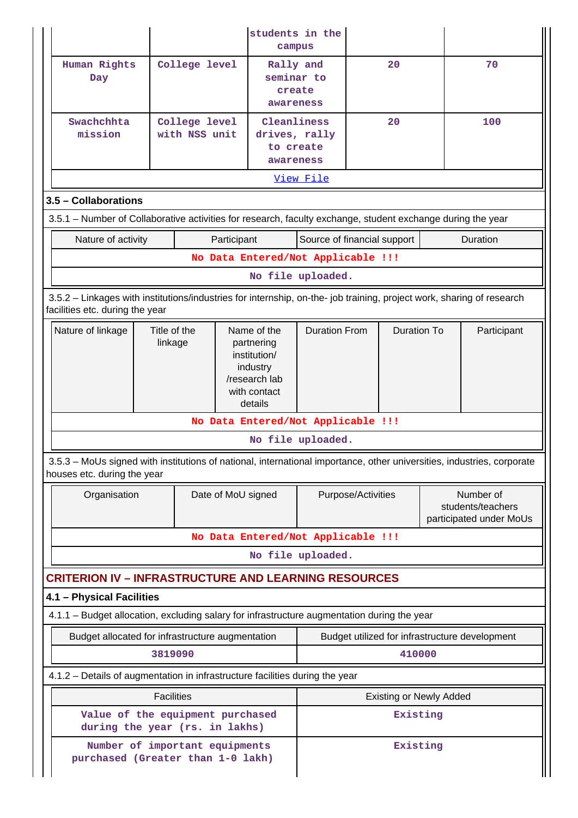|                                                                                                                                                          |                         |                                |                                                                                                   |                                                        | students in the<br>campus |                    |                                |  |                                                           |  |
|----------------------------------------------------------------------------------------------------------------------------------------------------------|-------------------------|--------------------------------|---------------------------------------------------------------------------------------------------|--------------------------------------------------------|---------------------------|--------------------|--------------------------------|--|-----------------------------------------------------------|--|
| Human Rights<br>Day                                                                                                                                      |                         | College level                  |                                                                                                   | Rally and<br>seminar to<br>create<br>awareness         |                           |                    | 20                             |  | 70                                                        |  |
| Swachchhta<br>mission                                                                                                                                    |                         | College level<br>with NSS unit |                                                                                                   | Cleanliness<br>drives, rally<br>to create<br>awareness |                           |                    | 20                             |  | 100                                                       |  |
|                                                                                                                                                          |                         |                                |                                                                                                   |                                                        | <u>View File</u>          |                    |                                |  |                                                           |  |
| 3.5 - Collaborations                                                                                                                                     |                         |                                |                                                                                                   |                                                        |                           |                    |                                |  |                                                           |  |
| 3.5.1 – Number of Collaborative activities for research, faculty exchange, student exchange during the year                                              |                         |                                |                                                                                                   |                                                        |                           |                    |                                |  |                                                           |  |
| Nature of activity                                                                                                                                       | Participant             | Source of financial support    |                                                                                                   |                                                        |                           | Duration           |                                |  |                                                           |  |
|                                                                                                                                                          |                         |                                |                                                                                                   | No Data Entered/Not Applicable !!!                     |                           |                    |                                |  |                                                           |  |
| No file uploaded.                                                                                                                                        |                         |                                |                                                                                                   |                                                        |                           |                    |                                |  |                                                           |  |
| 3.5.2 - Linkages with institutions/industries for internship, on-the- job training, project work, sharing of research<br>facilities etc. during the year |                         |                                |                                                                                                   |                                                        |                           |                    |                                |  |                                                           |  |
| Nature of linkage                                                                                                                                        | Title of the<br>linkage |                                | Name of the<br>partnering<br>institution/<br>industry<br>/research lab<br>with contact<br>details |                                                        | <b>Duration From</b>      |                    | <b>Duration To</b>             |  | Participant                                               |  |
|                                                                                                                                                          |                         |                                |                                                                                                   | No Data Entered/Not Applicable !!!                     |                           |                    |                                |  |                                                           |  |
|                                                                                                                                                          |                         |                                |                                                                                                   |                                                        | No file uploaded.         |                    |                                |  |                                                           |  |
| 3.5.3 - MoUs signed with institutions of national, international importance, other universities, industries, corporate<br>houses etc. during the year    |                         |                                |                                                                                                   |                                                        |                           |                    |                                |  |                                                           |  |
| Organisation                                                                                                                                             |                         |                                | Date of MoU signed                                                                                |                                                        |                           | Purpose/Activities |                                |  | Number of<br>students/teachers<br>participated under MoUs |  |
|                                                                                                                                                          |                         |                                |                                                                                                   | No Data Entered/Not Applicable !!!                     |                           |                    |                                |  |                                                           |  |
|                                                                                                                                                          |                         |                                |                                                                                                   |                                                        | No file uploaded.         |                    |                                |  |                                                           |  |
| <b>CRITERION IV - INFRASTRUCTURE AND LEARNING RESOURCES</b>                                                                                              |                         |                                |                                                                                                   |                                                        |                           |                    |                                |  |                                                           |  |
| 4.1 - Physical Facilities                                                                                                                                |                         |                                |                                                                                                   |                                                        |                           |                    |                                |  |                                                           |  |
| 4.1.1 – Budget allocation, excluding salary for infrastructure augmentation during the year                                                              |                         |                                |                                                                                                   |                                                        |                           |                    |                                |  |                                                           |  |
| Budget allocated for infrastructure augmentation                                                                                                         |                         |                                |                                                                                                   |                                                        |                           |                    |                                |  | Budget utilized for infrastructure development            |  |
|                                                                                                                                                          | 3819090                 |                                |                                                                                                   |                                                        |                           |                    | 410000                         |  |                                                           |  |
| 4.1.2 - Details of augmentation in infrastructure facilities during the year                                                                             |                         |                                |                                                                                                   |                                                        |                           |                    |                                |  |                                                           |  |
|                                                                                                                                                          | <b>Facilities</b>       |                                |                                                                                                   |                                                        |                           |                    | <b>Existing or Newly Added</b> |  |                                                           |  |
| Value of the equipment purchased<br>during the year (rs. in lakhs)                                                                                       |                         |                                |                                                                                                   |                                                        | Existing                  |                    |                                |  |                                                           |  |
| Number of important equipments<br>purchased (Greater than 1-0 lakh)                                                                                      |                         | Existing                       |                                                                                                   |                                                        |                           |                    |                                |  |                                                           |  |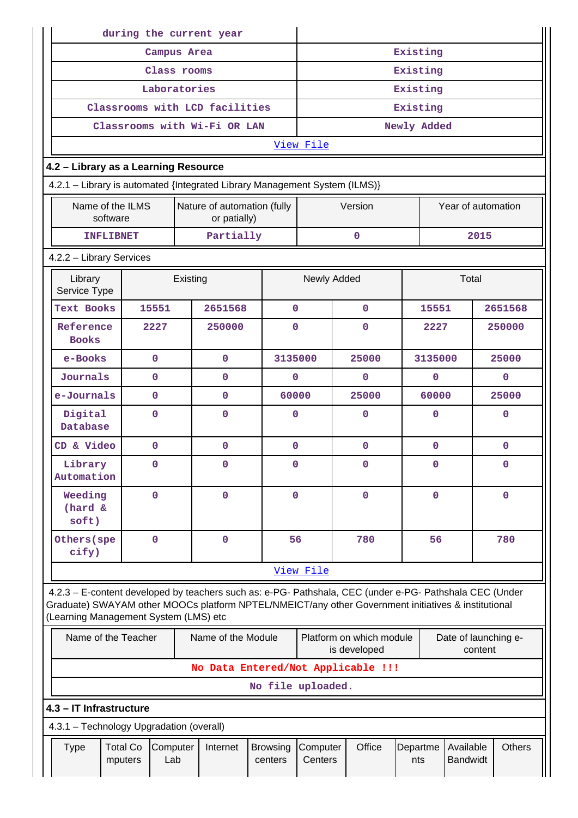|                                                                                                                                                                                                                                                         | during the current year                                                     |          |                                    |                            |              |                     |              |                                          |                 |             |                              |         |               |
|---------------------------------------------------------------------------------------------------------------------------------------------------------------------------------------------------------------------------------------------------------|-----------------------------------------------------------------------------|----------|------------------------------------|----------------------------|--------------|---------------------|--------------|------------------------------------------|-----------------|-------------|------------------------------|---------|---------------|
|                                                                                                                                                                                                                                                         | Campus Area                                                                 |          |                                    |                            |              |                     |              |                                          | Existing        |             |                              |         |               |
|                                                                                                                                                                                                                                                         | Class rooms                                                                 |          |                                    |                            |              |                     |              |                                          | Existing        |             |                              |         |               |
|                                                                                                                                                                                                                                                         | Laboratories                                                                |          |                                    |                            |              |                     |              |                                          | Existing        |             |                              |         |               |
|                                                                                                                                                                                                                                                         | Classrooms with LCD facilities                                              |          |                                    |                            |              |                     |              |                                          | Existing        |             |                              |         |               |
|                                                                                                                                                                                                                                                         | Classrooms with Wi-Fi OR LAN                                                |          |                                    |                            |              |                     |              |                                          | Newly Added     |             |                              |         |               |
|                                                                                                                                                                                                                                                         |                                                                             |          |                                    |                            |              | View File           |              |                                          |                 |             |                              |         |               |
| 4.2 - Library as a Learning Resource                                                                                                                                                                                                                    |                                                                             |          |                                    |                            |              |                     |              |                                          |                 |             |                              |         |               |
|                                                                                                                                                                                                                                                         | 4.2.1 - Library is automated {Integrated Library Management System (ILMS)}  |          |                                    |                            |              |                     |              |                                          |                 |             |                              |         |               |
|                                                                                                                                                                                                                                                         | Name of the ILMS<br>Nature of automation (fully<br>software<br>or patially) |          |                                    |                            |              |                     |              | Version                                  |                 |             | Year of automation           |         |               |
| <b>INFLIBNET</b>                                                                                                                                                                                                                                        |                                                                             |          | Partially                          |                            |              |                     |              | $\mathbf 0$                              |                 |             |                              | 2015    |               |
| 4.2.2 - Library Services                                                                                                                                                                                                                                |                                                                             |          |                                    |                            |              |                     |              |                                          |                 |             |                              |         |               |
| Library<br>Service Type                                                                                                                                                                                                                                 |                                                                             | Existing |                                    |                            |              | Newly Added         |              |                                          |                 |             | Total                        |         |               |
| <b>Text Books</b>                                                                                                                                                                                                                                       | 15551                                                                       |          | 2651568                            |                            | $\mathbf{0}$ |                     |              | $\mathbf 0$                              |                 | 15551       |                              |         | 2651568       |
| Reference<br><b>Books</b>                                                                                                                                                                                                                               | 2227                                                                        |          | 250000                             |                            | $\mathbf 0$  |                     |              | 0                                        |                 | 2227        |                              |         | 250000        |
| e-Books                                                                                                                                                                                                                                                 | $\mathbf 0$<br>$\mathbf{0}$                                                 |          |                                    |                            | 3135000      |                     | 25000        |                                          |                 | 3135000     |                              |         | 25000         |
| Journals                                                                                                                                                                                                                                                | $\mathbf 0$                                                                 |          | $\mathbf{O}$                       |                            | $\mathbf{0}$ |                     | $\mathbf{0}$ |                                          |                 | $\mathbf 0$ |                              |         | $\mathbf{0}$  |
| e-Journals                                                                                                                                                                                                                                              | $\mathbf 0$<br>0                                                            |          |                                    |                            |              | 60000               | 25000        |                                          |                 | 60000       |                              |         | 25000         |
| Digital<br>Database                                                                                                                                                                                                                                     | 0<br>0                                                                      |          |                                    | $\mathbf 0$                |              | 0                   |              |                                          | $\mathbf 0$     |             |                              | 0       |               |
| CD & Video                                                                                                                                                                                                                                              | 0                                                                           |          | $\mathbf{O}$                       |                            | $\mathbf{O}$ |                     |              | $\mathbf 0$                              |                 | $\mathbf 0$ |                              |         | 0             |
| Library<br>Automation                                                                                                                                                                                                                                   | $\mathbf 0$                                                                 |          | 0                                  |                            | $\mathbf 0$  | $\pmb{0}$           |              | $\mathbf 0$                              |                 |             | 0                            |         |               |
| Weeding<br>(hard &<br>soft)                                                                                                                                                                                                                             | $\mathbf 0$                                                                 |          | $\mathbf 0$                        |                            | $\mathbf{0}$ |                     |              | $\mathbf 0$                              |                 | $\mathbf 0$ |                              |         | $\mathbf 0$   |
| Others (spe<br>cify)                                                                                                                                                                                                                                    | 0                                                                           |          | $\mathbf 0$                        |                            | 56           |                     |              | 780                                      |                 | 56          |                              |         | 780           |
|                                                                                                                                                                                                                                                         |                                                                             |          |                                    |                            |              | View File           |              |                                          |                 |             |                              |         |               |
| 4.2.3 - E-content developed by teachers such as: e-PG- Pathshala, CEC (under e-PG- Pathshala CEC (Under<br>Graduate) SWAYAM other MOOCs platform NPTEL/NMEICT/any other Government initiatives & institutional<br>(Learning Management System (LMS) etc |                                                                             |          |                                    |                            |              |                     |              |                                          |                 |             |                              |         |               |
| Name of the Teacher                                                                                                                                                                                                                                     |                                                                             |          | Name of the Module                 |                            |              |                     |              | Platform on which module<br>is developed |                 |             | Date of launching e-         | content |               |
|                                                                                                                                                                                                                                                         |                                                                             |          | No Data Entered/Not Applicable !!! |                            |              |                     |              |                                          |                 |             |                              |         |               |
|                                                                                                                                                                                                                                                         |                                                                             |          |                                    |                            |              | No file uploaded.   |              |                                          |                 |             |                              |         |               |
| 4.3 - IT Infrastructure                                                                                                                                                                                                                                 |                                                                             |          |                                    |                            |              |                     |              |                                          |                 |             |                              |         |               |
| 4.3.1 - Technology Upgradation (overall)                                                                                                                                                                                                                |                                                                             |          |                                    |                            |              |                     |              |                                          |                 |             |                              |         |               |
| <b>Type</b>                                                                                                                                                                                                                                             | <b>Total Co</b><br>Computer<br>Lab<br>mputers                               |          | Internet                           | <b>Browsing</b><br>centers |              | Computer<br>Centers |              | Office                                   | Departme<br>nts |             | Available<br><b>Bandwidt</b> |         | <b>Others</b> |
|                                                                                                                                                                                                                                                         |                                                                             |          |                                    |                            |              |                     |              |                                          |                 |             |                              |         |               |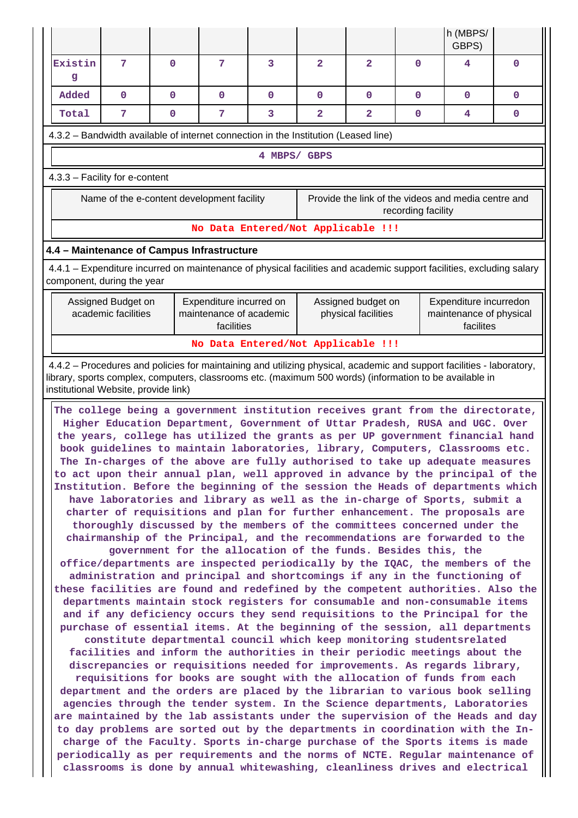|                                                                                                                                                                                                                                                                                                                                                                                                                                                                                                                                                                                                                                                                                                                                                                                                                                                                                                                                                                                                                                                                                                                                                                                                                                                                                                                                                                                                                                                                                                                                                                                                                                                                                                                                                                                                                                                                                                                                                                                                                                                                                                                                                                                                                                                                                                                                                                                                 |   |              |              |                                    |                |                         |   | h (MBPS/<br>GBPS) |              |  |  |  |
|-------------------------------------------------------------------------------------------------------------------------------------------------------------------------------------------------------------------------------------------------------------------------------------------------------------------------------------------------------------------------------------------------------------------------------------------------------------------------------------------------------------------------------------------------------------------------------------------------------------------------------------------------------------------------------------------------------------------------------------------------------------------------------------------------------------------------------------------------------------------------------------------------------------------------------------------------------------------------------------------------------------------------------------------------------------------------------------------------------------------------------------------------------------------------------------------------------------------------------------------------------------------------------------------------------------------------------------------------------------------------------------------------------------------------------------------------------------------------------------------------------------------------------------------------------------------------------------------------------------------------------------------------------------------------------------------------------------------------------------------------------------------------------------------------------------------------------------------------------------------------------------------------------------------------------------------------------------------------------------------------------------------------------------------------------------------------------------------------------------------------------------------------------------------------------------------------------------------------------------------------------------------------------------------------------------------------------------------------------------------------------------------------|---|--------------|--------------|------------------------------------|----------------|-------------------------|---|-------------------|--------------|--|--|--|
| Existin<br>$\mathbf{g}$                                                                                                                                                                                                                                                                                                                                                                                                                                                                                                                                                                                                                                                                                                                                                                                                                                                                                                                                                                                                                                                                                                                                                                                                                                                                                                                                                                                                                                                                                                                                                                                                                                                                                                                                                                                                                                                                                                                                                                                                                                                                                                                                                                                                                                                                                                                                                                         | 7 | $\mathbf 0$  | 7            | 3                                  | $\mathbf{2}$   | $\overline{2}$          | 0 | 4                 | $\mathbf 0$  |  |  |  |
| Added<br>$\mathbf{0}$                                                                                                                                                                                                                                                                                                                                                                                                                                                                                                                                                                                                                                                                                                                                                                                                                                                                                                                                                                                                                                                                                                                                                                                                                                                                                                                                                                                                                                                                                                                                                                                                                                                                                                                                                                                                                                                                                                                                                                                                                                                                                                                                                                                                                                                                                                                                                                           |   | $\mathbf{O}$ | $\mathbf{0}$ | $\mathbf 0$                        | $\Omega$       | $\mathbf 0$             | 0 | $\Omega$          | $\mathbf{0}$ |  |  |  |
| 7<br>Total                                                                                                                                                                                                                                                                                                                                                                                                                                                                                                                                                                                                                                                                                                                                                                                                                                                                                                                                                                                                                                                                                                                                                                                                                                                                                                                                                                                                                                                                                                                                                                                                                                                                                                                                                                                                                                                                                                                                                                                                                                                                                                                                                                                                                                                                                                                                                                                      |   | $\mathbf 0$  | 7            | 3                                  | $\overline{a}$ | $\overline{\mathbf{2}}$ | 0 | 4                 | 0            |  |  |  |
| 4.3.2 – Bandwidth available of internet connection in the Institution (Leased line)                                                                                                                                                                                                                                                                                                                                                                                                                                                                                                                                                                                                                                                                                                                                                                                                                                                                                                                                                                                                                                                                                                                                                                                                                                                                                                                                                                                                                                                                                                                                                                                                                                                                                                                                                                                                                                                                                                                                                                                                                                                                                                                                                                                                                                                                                                             |   |              |              |                                    |                |                         |   |                   |              |  |  |  |
| 4 MBPS/ GBPS                                                                                                                                                                                                                                                                                                                                                                                                                                                                                                                                                                                                                                                                                                                                                                                                                                                                                                                                                                                                                                                                                                                                                                                                                                                                                                                                                                                                                                                                                                                                                                                                                                                                                                                                                                                                                                                                                                                                                                                                                                                                                                                                                                                                                                                                                                                                                                                    |   |              |              |                                    |                |                         |   |                   |              |  |  |  |
| 4.3.3 - Facility for e-content                                                                                                                                                                                                                                                                                                                                                                                                                                                                                                                                                                                                                                                                                                                                                                                                                                                                                                                                                                                                                                                                                                                                                                                                                                                                                                                                                                                                                                                                                                                                                                                                                                                                                                                                                                                                                                                                                                                                                                                                                                                                                                                                                                                                                                                                                                                                                                  |   |              |              |                                    |                |                         |   |                   |              |  |  |  |
| Name of the e-content development facility<br>Provide the link of the videos and media centre and<br>recording facility                                                                                                                                                                                                                                                                                                                                                                                                                                                                                                                                                                                                                                                                                                                                                                                                                                                                                                                                                                                                                                                                                                                                                                                                                                                                                                                                                                                                                                                                                                                                                                                                                                                                                                                                                                                                                                                                                                                                                                                                                                                                                                                                                                                                                                                                         |   |              |              |                                    |                |                         |   |                   |              |  |  |  |
|                                                                                                                                                                                                                                                                                                                                                                                                                                                                                                                                                                                                                                                                                                                                                                                                                                                                                                                                                                                                                                                                                                                                                                                                                                                                                                                                                                                                                                                                                                                                                                                                                                                                                                                                                                                                                                                                                                                                                                                                                                                                                                                                                                                                                                                                                                                                                                                                 |   |              |              | No Data Entered/Not Applicable !!! |                |                         |   |                   |              |  |  |  |
| 4.4 - Maintenance of Campus Infrastructure                                                                                                                                                                                                                                                                                                                                                                                                                                                                                                                                                                                                                                                                                                                                                                                                                                                                                                                                                                                                                                                                                                                                                                                                                                                                                                                                                                                                                                                                                                                                                                                                                                                                                                                                                                                                                                                                                                                                                                                                                                                                                                                                                                                                                                                                                                                                                      |   |              |              |                                    |                |                         |   |                   |              |  |  |  |
| 4.4.1 – Expenditure incurred on maintenance of physical facilities and academic support facilities, excluding salary<br>component, during the year                                                                                                                                                                                                                                                                                                                                                                                                                                                                                                                                                                                                                                                                                                                                                                                                                                                                                                                                                                                                                                                                                                                                                                                                                                                                                                                                                                                                                                                                                                                                                                                                                                                                                                                                                                                                                                                                                                                                                                                                                                                                                                                                                                                                                                              |   |              |              |                                    |                |                         |   |                   |              |  |  |  |
| Assigned Budget on<br>Expenditure incurred on<br>Assigned budget on<br>Expenditure incurredon<br>academic facilities<br>maintenance of academic<br>physical facilities<br>maintenance of physical<br>facilites<br>facilities                                                                                                                                                                                                                                                                                                                                                                                                                                                                                                                                                                                                                                                                                                                                                                                                                                                                                                                                                                                                                                                                                                                                                                                                                                                                                                                                                                                                                                                                                                                                                                                                                                                                                                                                                                                                                                                                                                                                                                                                                                                                                                                                                                    |   |              |              |                                    |                |                         |   |                   |              |  |  |  |
| No Data Entered/Not Applicable !!!                                                                                                                                                                                                                                                                                                                                                                                                                                                                                                                                                                                                                                                                                                                                                                                                                                                                                                                                                                                                                                                                                                                                                                                                                                                                                                                                                                                                                                                                                                                                                                                                                                                                                                                                                                                                                                                                                                                                                                                                                                                                                                                                                                                                                                                                                                                                                              |   |              |              |                                    |                |                         |   |                   |              |  |  |  |
| 4.4.2 - Procedures and policies for maintaining and utilizing physical, academic and support facilities - laboratory,<br>library, sports complex, computers, classrooms etc. (maximum 500 words) (information to be available in<br>institutional Website, provide link)                                                                                                                                                                                                                                                                                                                                                                                                                                                                                                                                                                                                                                                                                                                                                                                                                                                                                                                                                                                                                                                                                                                                                                                                                                                                                                                                                                                                                                                                                                                                                                                                                                                                                                                                                                                                                                                                                                                                                                                                                                                                                                                        |   |              |              |                                    |                |                         |   |                   |              |  |  |  |
| The college being a government institution receives grant from the directorate,<br>Higher Education Department, Government of Uttar Pradesh, RUSA and UGC. Over<br>the years, college has utilized the grants as per UP government financial hand<br>book guidelines to maintain laboratories, library, Computers, Classrooms etc.<br>The In-charges of the above are fully authorised to take up adequate measures<br>to act upon their annual plan, well approved in advance by the principal of the<br>Institution. Before the beginning of the session the Heads of departments which<br>have laboratories and library as well as the in-charge of Sports, submit a<br>charter of requisitions and plan for further enhancement. The proposals are<br>thoroughly discussed by the members of the committees concerned under the<br>chairmanship of the Principal, and the recommendations are forwarded to the<br>government for the allocation of the funds. Besides this, the<br>office/departments are inspected periodically by the IQAC, the members of the<br>administration and principal and shortcomings if any in the functioning of<br>these facilities are found and redefined by the competent authorities. Also the<br>departments maintain stock registers for consumable and non-consumable items<br>and if any deficiency occurs they send requisitions to the Principal for the<br>purchase of essential items. At the beginning of the session, all departments<br>constitute departmental council which keep monitoring studentsrelated<br>facilities and inform the authorities in their periodic meetings about the<br>discrepancies or requisitions needed for improvements. As regards library,<br>requisitions for books are sought with the allocation of funds from each<br>department and the orders are placed by the librarian to various book selling<br>agencies through the tender system. In the Science departments, Laboratories<br>are maintained by the lab assistants under the supervision of the Heads and day<br>to day problems are sorted out by the departments in coordination with the In-<br>charge of the Faculty. Sports in-charge purchase of the Sports items is made<br>periodically as per requirements and the norms of NCTE. Regular maintenance of<br>classrooms is done by annual whitewashing, cleanliness drives and electrical |   |              |              |                                    |                |                         |   |                   |              |  |  |  |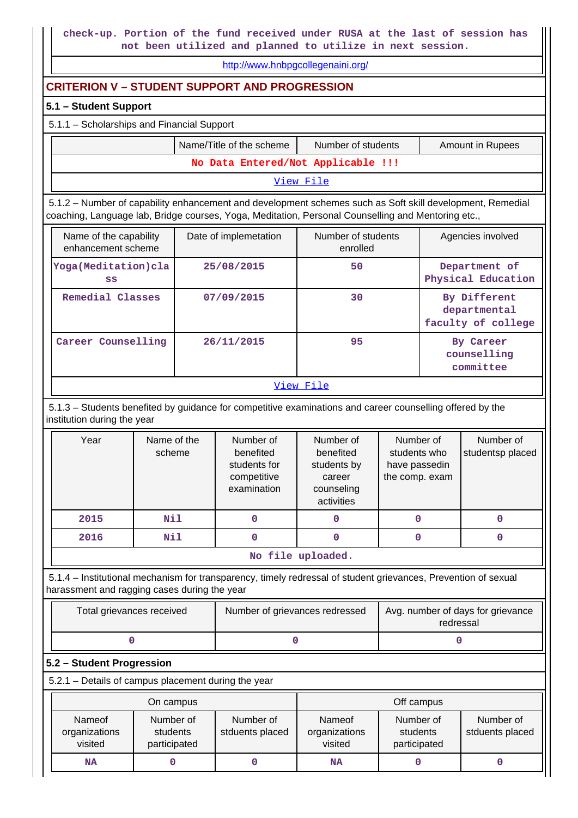**check-up. Portion of the fund received under RUSA at the last of session has not been utilized and planned to utilize in next session.**

<http://www.hnbpgcollegenaini.org/>

# **CRITERION V – STUDENT SUPPORT AND PROGRESSION**

#### **5.1 – Student Support**

### 5.1.1 – Scholarships and Financial Support

|                                    | Name/Title of the scheme | Number of students | <b>Amount in Rupees</b> |  |  |  |  |  |
|------------------------------------|--------------------------|--------------------|-------------------------|--|--|--|--|--|
| No Data Entered/Not Applicable !!! |                          |                    |                         |  |  |  |  |  |
| View File                          |                          |                    |                         |  |  |  |  |  |

 5.1.2 – Number of capability enhancement and development schemes such as Soft skill development, Remedial coaching, Language lab, Bridge courses, Yoga, Meditation, Personal Counselling and Mentoring etc.,

| Name of the capability<br>enhancement scheme | Date of implemetation | Number of students<br>enrolled | Agencies involved                                  |
|----------------------------------------------|-----------------------|--------------------------------|----------------------------------------------------|
| Yoga (Meditation) cla<br>SS                  | 25/08/2015            | 50                             | Department of<br>Physical Education                |
| Remedial Classes                             | 07/09/2015            | 30                             | By Different<br>departmental<br>faculty of college |
| Career Counselling                           | 26/11/2015            | 95                             | By Career<br>counselling<br>committee              |
|                                              | -- -                  | _ . -                          |                                                    |

#### [View File](https://assessmentonline.naac.gov.in/public/Postacc/Development_Schemes/5197_Development_Schemes_1586858663.xlsx)

 5.1.3 – Students benefited by guidance for competitive examinations and career counselling offered by the institution during the year

| Year              | Name of the<br>scheme | Number of<br>benefited<br>students for<br>competitive<br>examination | Number of<br>benefited<br>students by<br>career<br>counseling<br>activities | Number of<br>students who<br>have passedin<br>the comp. exam | Number of<br>studentsp placed |  |  |  |  |
|-------------------|-----------------------|----------------------------------------------------------------------|-----------------------------------------------------------------------------|--------------------------------------------------------------|-------------------------------|--|--|--|--|
| 2015              | Nil                   |                                                                      |                                                                             |                                                              | 0                             |  |  |  |  |
| 2016              | Nil                   |                                                                      |                                                                             |                                                              | O                             |  |  |  |  |
| No file uploaded. |                       |                                                                      |                                                                             |                                                              |                               |  |  |  |  |

 5.1.4 – Institutional mechanism for transparency, timely redressal of student grievances, Prevention of sexual harassment and ragging cases during the year

| Total grievances received | Number of grievances redressed | Avg. number of days for grievance<br>redressal |
|---------------------------|--------------------------------|------------------------------------------------|
|                           |                                |                                                |

#### **5.2 – Student Progression**

5.2.1 – Details of campus placement during the year

|                                    | On campus                             |                              | Off campus                         |                                       |                              |  |  |
|------------------------------------|---------------------------------------|------------------------------|------------------------------------|---------------------------------------|------------------------------|--|--|
| Nameof<br>organizations<br>visited | Number of<br>students<br>participated | Number of<br>stduents placed | Nameof<br>organizations<br>visited | Number of<br>students<br>participated | Number of<br>stduents placed |  |  |
| <b>NA</b>                          |                                       |                              | NA                                 |                                       |                              |  |  |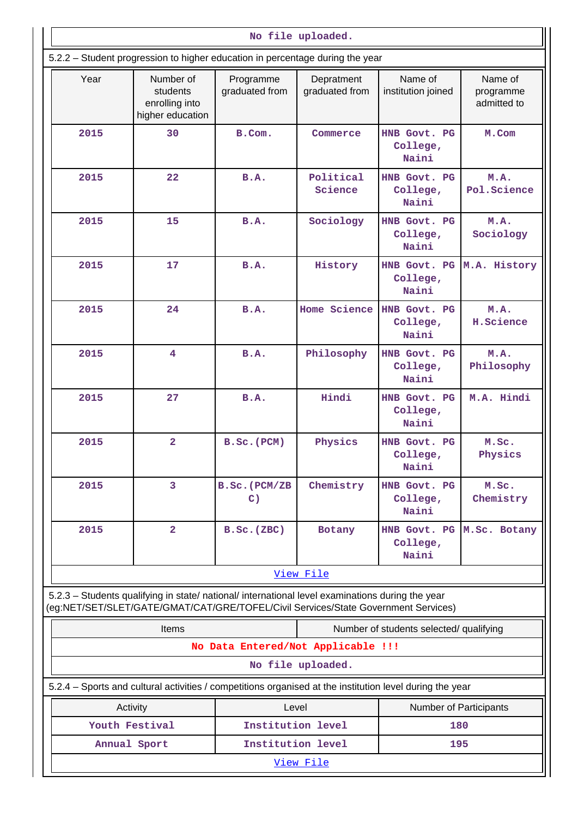|           |                                                                                                                                                                                        |                                    |                              | No file uploaded.                              |                                     |  |  |  |  |  |  |  |
|-----------|----------------------------------------------------------------------------------------------------------------------------------------------------------------------------------------|------------------------------------|------------------------------|------------------------------------------------|-------------------------------------|--|--|--|--|--|--|--|
|           | 5.2.2 - Student progression to higher education in percentage during the year                                                                                                          |                                    |                              |                                                |                                     |  |  |  |  |  |  |  |
| Year      | Number of<br>students<br>enrolling into<br>higher education                                                                                                                            | Programme<br>graduated from        | Depratment<br>graduated from | Name of<br>institution joined                  | Name of<br>programme<br>admitted to |  |  |  |  |  |  |  |
| 2015      | 30                                                                                                                                                                                     | B.Com.                             | Commerce                     | HNB Govt. PG<br>College,<br>Naini              | M.Com                               |  |  |  |  |  |  |  |
| 2015      | 22                                                                                                                                                                                     | B.A.                               | Political<br>Science         | HNB Govt. PG<br>College,<br>Naini              | M.A.<br>Pol.Science                 |  |  |  |  |  |  |  |
| 2015      | 15                                                                                                                                                                                     | <b>B.A.</b>                        | Sociology                    | HNB Govt. PG<br>College,<br>Naini              | M.A.<br>Sociology                   |  |  |  |  |  |  |  |
| 2015      | 17                                                                                                                                                                                     | <b>B.A.</b>                        | History                      | HNB Govt. PG<br>College,<br>Naini              | M.A. History                        |  |  |  |  |  |  |  |
| 2015      | 24                                                                                                                                                                                     | <b>B.A.</b>                        | Home Science                 | HNB Govt. PG<br>College,<br>Naini              | M.A.<br>H.Science                   |  |  |  |  |  |  |  |
| 2015      | 4                                                                                                                                                                                      | B.A.                               | Philosophy                   | HNB Govt. PG<br>College,<br>Naini              | M.A.<br>Philosophy                  |  |  |  |  |  |  |  |
| 2015      | 27                                                                                                                                                                                     | <b>B.A.</b>                        | Hindi                        | HNB Govt. PG<br>College,<br>Naini              | M.A. Hindi                          |  |  |  |  |  |  |  |
| 2015      | $\overline{\mathbf{2}}$                                                                                                                                                                | $B.SC.$ ( $PCM$ )                  | Physics                      | HNB Govt. PG<br>College,<br>Naini              | M.Sc.<br>Physics                    |  |  |  |  |  |  |  |
| 2015      | $\overline{3}$                                                                                                                                                                         | B.Sc.(PCM/ZB<br>$\mathbf{C}$ )     | Chemistry                    | HNB Govt. PG<br>College,<br>Naini              | M.Sc.<br>Chemistry                  |  |  |  |  |  |  |  |
| 2015      | $\overline{a}$                                                                                                                                                                         | $B.Sc.$ (ZBC)                      | Botany                       | HNB Govt. PG M.Sc. Botany<br>College,<br>Naini |                                     |  |  |  |  |  |  |  |
|           |                                                                                                                                                                                        |                                    | View File                    |                                                |                                     |  |  |  |  |  |  |  |
|           | 5.2.3 - Students qualifying in state/ national/ international level examinations during the year<br>(eg:NET/SET/SLET/GATE/GMAT/CAT/GRE/TOFEL/Civil Services/State Government Services) |                                    |                              |                                                |                                     |  |  |  |  |  |  |  |
|           | <b>Items</b>                                                                                                                                                                           |                                    |                              | Number of students selected/ qualifying        |                                     |  |  |  |  |  |  |  |
|           |                                                                                                                                                                                        | No Data Entered/Not Applicable !!! |                              |                                                |                                     |  |  |  |  |  |  |  |
|           |                                                                                                                                                                                        |                                    | No file uploaded.            |                                                |                                     |  |  |  |  |  |  |  |
|           | 5.2.4 - Sports and cultural activities / competitions organised at the institution level during the year                                                                               |                                    |                              |                                                |                                     |  |  |  |  |  |  |  |
|           | Activity                                                                                                                                                                               | Level                              |                              |                                                | Number of Participants              |  |  |  |  |  |  |  |
|           | Youth Festival                                                                                                                                                                         | Institution level                  |                              | 180                                            |                                     |  |  |  |  |  |  |  |
|           | Annual Sport                                                                                                                                                                           | Institution level                  |                              |                                                | 195                                 |  |  |  |  |  |  |  |
| View File |                                                                                                                                                                                        |                                    |                              |                                                |                                     |  |  |  |  |  |  |  |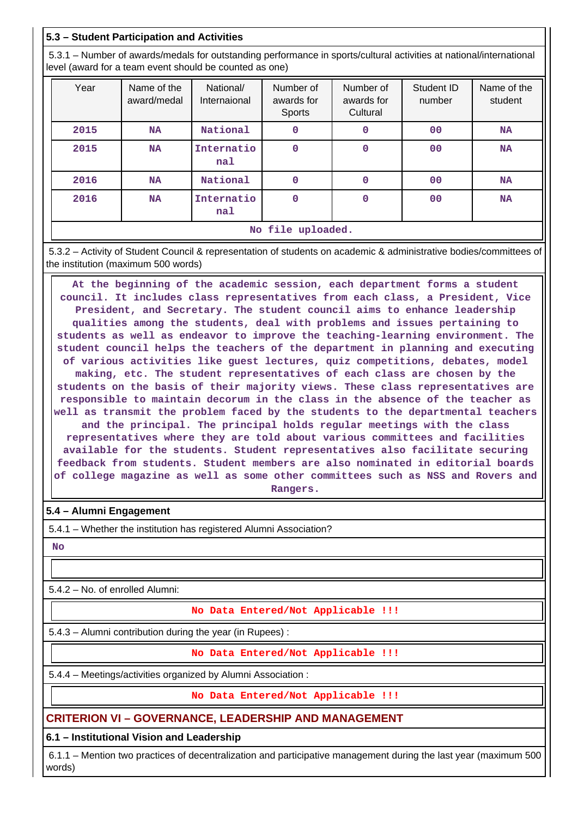# **5.3 – Student Participation and Activities**

 5.3.1 – Number of awards/medals for outstanding performance in sports/cultural activities at national/international level (award for a team event should be counted as one)

| Year              | Name of the<br>award/medal | National/<br>Internaional | Number of<br>awards for<br><b>Sports</b> | Number of<br>awards for<br>Cultural | Student ID<br>number | Name of the<br>student |  |  |
|-------------------|----------------------------|---------------------------|------------------------------------------|-------------------------------------|----------------------|------------------------|--|--|
| 2015              | <b>NA</b>                  | National                  | 0                                        | 0                                   | 0 <sup>0</sup>       | <b>NA</b>              |  |  |
| 2015              | <b>NA</b>                  | Internatio<br>na1         | 0                                        | 0                                   | 0 <sub>0</sub>       | <b>NA</b>              |  |  |
| 2016              | <b>NA</b>                  | National                  | 0                                        | 0                                   | 00                   | <b>NA</b>              |  |  |
| 2016              | <b>NA</b>                  | Internatio<br>na1         | $\Omega$                                 | $\mathbf 0$                         | 0 <sub>0</sub>       | <b>NA</b>              |  |  |
| No file uploaded. |                            |                           |                                          |                                     |                      |                        |  |  |

 5.3.2 – Activity of Student Council & representation of students on academic & administrative bodies/committees of the institution (maximum 500 words)

 **At the beginning of the academic session, each department forms a student council. It includes class representatives from each class, a President, Vice President, and Secretary. The student council aims to enhance leadership qualities among the students, deal with problems and issues pertaining to students as well as endeavor to improve the teaching-learning environment. The student council helps the teachers of the department in planning and executing of various activities like guest lectures, quiz competitions, debates, model making, etc. The student representatives of each class are chosen by the students on the basis of their majority views. These class representatives are responsible to maintain decorum in the class in the absence of the teacher as well as transmit the problem faced by the students to the departmental teachers and the principal. The principal holds regular meetings with the class representatives where they are told about various committees and facilities available for the students. Student representatives also facilitate securing feedback from students. Student members are also nominated in editorial boards of college magazine as well as some other committees such as NSS and Rovers and Rangers.**

# **5.4 – Alumni Engagement**

5.4.1 – Whether the institution has registered Alumni Association?

 **No**

5.4.2 – No. of enrolled Alumni:

**No Data Entered/Not Applicable !!!**

5.4.3 – Alumni contribution during the year (in Rupees) :

**No Data Entered/Not Applicable !!!**

5.4.4 – Meetings/activities organized by Alumni Association :

**No Data Entered/Not Applicable !!!**

**CRITERION VI – GOVERNANCE, LEADERSHIP AND MANAGEMENT**

**6.1 – Institutional Vision and Leadership**

 6.1.1 – Mention two practices of decentralization and participative management during the last year (maximum 500 words)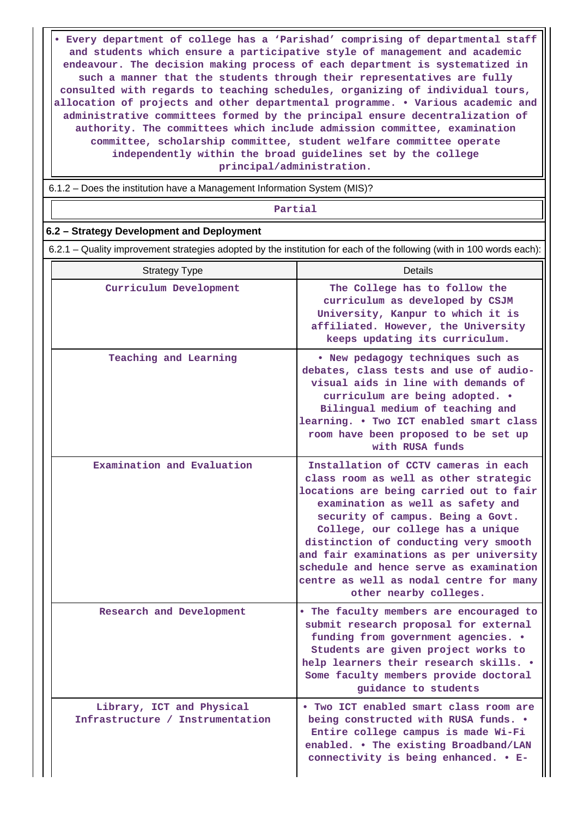**• Every department of college has a 'Parishad' comprising of departmental staff and students which ensure a participative style of management and academic endeavour. The decision making process of each department is systematized in such a manner that the students through their representatives are fully consulted with regards to teaching schedules, organizing of individual tours, allocation of projects and other departmental programme. • Various academic and administrative committees formed by the principal ensure decentralization of authority. The committees which include admission committee, examination committee, scholarship committee, student welfare committee operate independently within the broad guidelines set by the college principal/administration.**

6.1.2 – Does the institution have a Management Information System (MIS)?

**Partial**

#### **6.2 – Strategy Development and Deployment**

6.2.1 – Quality improvement strategies adopted by the institution for each of the following (with in 100 words each):

| <b>Strategy Type</b>                                          | Details                                                                                                                                                                                                                                                                                                                                                                                                                                     |
|---------------------------------------------------------------|---------------------------------------------------------------------------------------------------------------------------------------------------------------------------------------------------------------------------------------------------------------------------------------------------------------------------------------------------------------------------------------------------------------------------------------------|
| Curriculum Development                                        | The College has to follow the<br>curriculum as developed by CSJM<br>University, Kanpur to which it is<br>affiliated. However, the University<br>keeps updating its curriculum.                                                                                                                                                                                                                                                              |
| Teaching and Learning                                         | . New pedagogy techniques such as<br>debates, class tests and use of audio-<br>visual aids in line with demands of<br>curriculum are being adopted. .<br>Bilingual medium of teaching and<br>learning. . Two ICT enabled smart class<br>room have been proposed to be set up<br>with RUSA funds                                                                                                                                             |
| Examination and Evaluation                                    | Installation of CCTV cameras in each<br>class room as well as other strategic<br>locations are being carried out to fair<br>examination as well as safety and<br>security of campus. Being a Govt.<br>College, our college has a unique<br>distinction of conducting very smooth<br>and fair examinations as per university<br>schedule and hence serve as examination<br>centre as well as nodal centre for many<br>other nearby colleges. |
| Research and Development                                      | . The faculty members are encouraged to<br>submit research proposal for external<br>funding from government agencies. .<br>Students are given project works to<br>help learners their research skills. .<br>Some faculty members provide doctoral<br>quidance to students                                                                                                                                                                   |
| Library, ICT and Physical<br>Infrastructure / Instrumentation | . Two ICT enabled smart class room are<br>being constructed with RUSA funds. .<br>Entire college campus is made Wi-Fi<br>enabled. . The existing Broadband/LAN<br>connectivity is being enhanced. . E-                                                                                                                                                                                                                                      |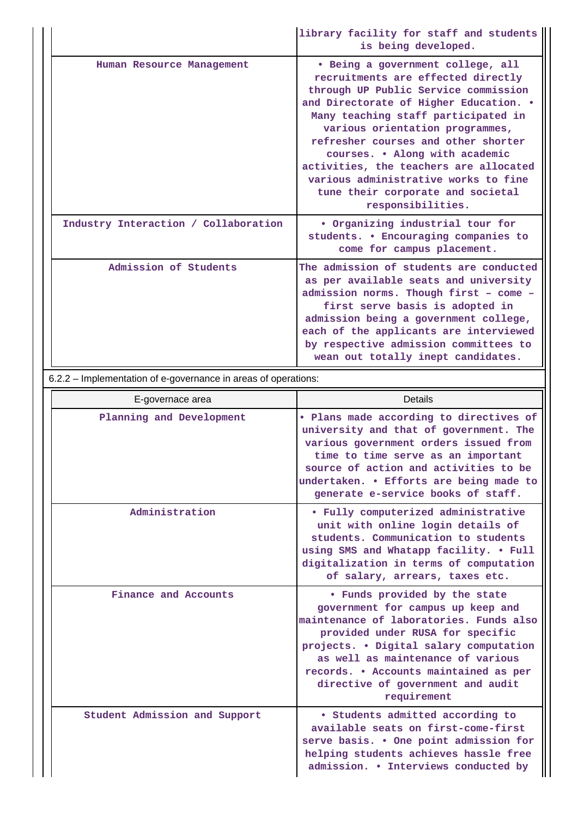|                                      | library facility for staff and students<br>is being developed.                                                                                                                                                                                                                                                                                                                                                                                           |
|--------------------------------------|----------------------------------------------------------------------------------------------------------------------------------------------------------------------------------------------------------------------------------------------------------------------------------------------------------------------------------------------------------------------------------------------------------------------------------------------------------|
| Human Resource Management            | • Being a government college, all<br>recruitments are effected directly<br>through UP Public Service commission<br>and Directorate of Higher Education. .<br>Many teaching staff participated in<br>various orientation programmes,<br>refresher courses and other shorter<br>courses. . Along with academic<br>activities, the teachers are allocated<br>various administrative works to fine<br>tune their corporate and societal<br>responsibilities. |
| Industry Interaction / Collaboration | . Organizing industrial tour for<br>students. • Encouraging companies to<br>come for campus placement.                                                                                                                                                                                                                                                                                                                                                   |
| Admission of Students                | The admission of students are conducted<br>as per available seats and university<br>admission norms. Though first - come -<br>first serve basis is adopted in<br>admission being a government college,<br>each of the applicants are interviewed<br>by respective admission committees to<br>wean out totally inept candidates.                                                                                                                          |

6.2.2 – Implementation of e-governance in areas of operations:

| E-governace area              | Details                                                                                                                                                                                                                                                                                                                       |  |  |  |
|-------------------------------|-------------------------------------------------------------------------------------------------------------------------------------------------------------------------------------------------------------------------------------------------------------------------------------------------------------------------------|--|--|--|
| Planning and Development      | . Plans made according to directives of<br>university and that of government. The<br>various government orders issued from<br>time to time serve as an important<br>source of action and activities to be<br>undertaken. . Efforts are being made to<br>generate e-service books of staff.                                    |  |  |  |
| Administration                | • Fully computerized administrative<br>unit with online login details of<br>students. Communication to students<br>using SMS and Whatapp facility. • Full<br>digitalization in terms of computation<br>of salary, arrears, taxes etc.                                                                                         |  |  |  |
| Finance and Accounts          | . Funds provided by the state<br>government for campus up keep and<br>maintenance of laboratories. Funds also<br>provided under RUSA for specific<br>projects. . Digital salary computation<br>as well as maintenance of various<br>records. • Accounts maintained as per<br>directive of government and audit<br>requirement |  |  |  |
| Student Admission and Support | • Students admitted according to<br>available seats on first-come-first<br>serve basis. . One point admission for<br>helping students achieves hassle free<br>admission. • Interviews conducted by                                                                                                                            |  |  |  |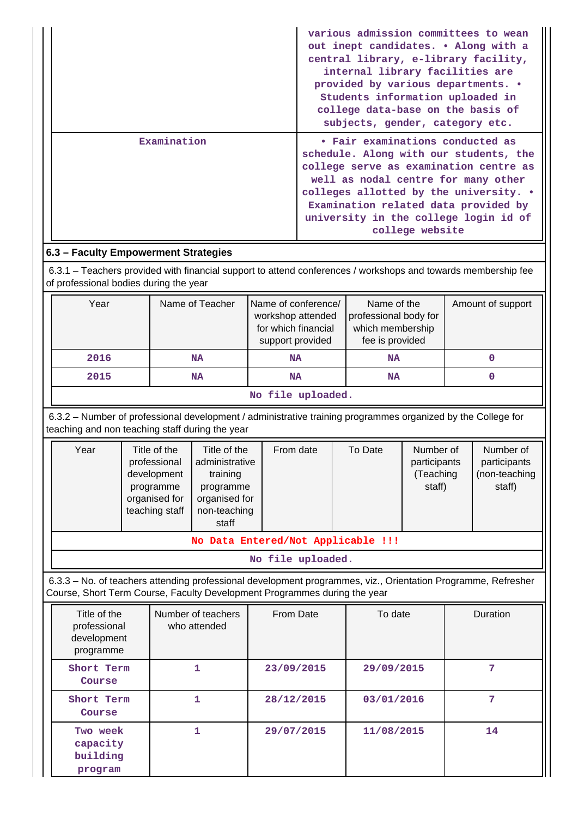|             | various admission committees to wean<br>out inept candidates. . Along with a<br>central library, e-library facility,<br>internal library facilities are<br>provided by various departments. •<br>Students information uploaded in<br>college data-base on the basis of<br>subjects, gender, category etc. |
|-------------|-----------------------------------------------------------------------------------------------------------------------------------------------------------------------------------------------------------------------------------------------------------------------------------------------------------|
| Examination | • Fair examinations conducted as<br>schedule. Along with our students, the<br>college serve as examination centre as<br>well as nodal centre for many other<br>colleges allotted by the university. .<br>Examination related data provided by<br>university in the college login id of<br>college website |

# **6.3 – Faculty Empowerment Strategies**

 6.3.1 – Teachers provided with financial support to attend conferences / workshops and towards membership fee of professional bodies during the year

| Year               | Name of Teacher | Name of conference/<br>workshop attended<br>for which financial<br>support provided | Name of the<br>professional body for<br>which membership<br>fee is provided | Amount of support |  |  |  |  |
|--------------------|-----------------|-------------------------------------------------------------------------------------|-----------------------------------------------------------------------------|-------------------|--|--|--|--|
| 2016               | <b>NA</b>       | <b>NA</b>                                                                           | <b>NA</b>                                                                   |                   |  |  |  |  |
| 2015               | <b>NA</b>       | <b>NA</b>                                                                           | <b>NA</b>                                                                   |                   |  |  |  |  |
| - - -<br>. .<br>-- |                 |                                                                                     |                                                                             |                   |  |  |  |  |

**No file uploaded.**

 6.3.2 – Number of professional development / administrative training programmes organized by the College for teaching and non teaching staff during the year

| Year                               | Title of the<br>professional<br>development<br>programme<br>organised for<br>teaching staff | Title of the<br>administrative<br>training<br>programme<br>organised for<br>non-teaching<br>staff | From date | To Date | Number of<br>participants<br>(Teaching<br>staff) | Number of<br>participants<br>(non-teaching<br>staff) |  |  |
|------------------------------------|---------------------------------------------------------------------------------------------|---------------------------------------------------------------------------------------------------|-----------|---------|--------------------------------------------------|------------------------------------------------------|--|--|
| No Data Entered/Not Applicable !!! |                                                                                             |                                                                                                   |           |         |                                                  |                                                      |  |  |

**No file uploaded.**

 6.3.3 – No. of teachers attending professional development programmes, viz., Orientation Programme, Refresher Course, Short Term Course, Faculty Development Programmes during the year

| Title of the<br>professional<br>development<br>programme | Number of teachers<br>who attended | From Date  | To date    | <b>Duration</b> |
|----------------------------------------------------------|------------------------------------|------------|------------|-----------------|
| Short Term<br>Course                                     |                                    | 23/09/2015 | 29/09/2015 | 7               |
| Short Term<br>Course                                     |                                    | 28/12/2015 | 03/01/2016 | 7               |
| Two week<br>capacity<br>building<br>program              | 1                                  | 29/07/2015 | 11/08/2015 | 14              |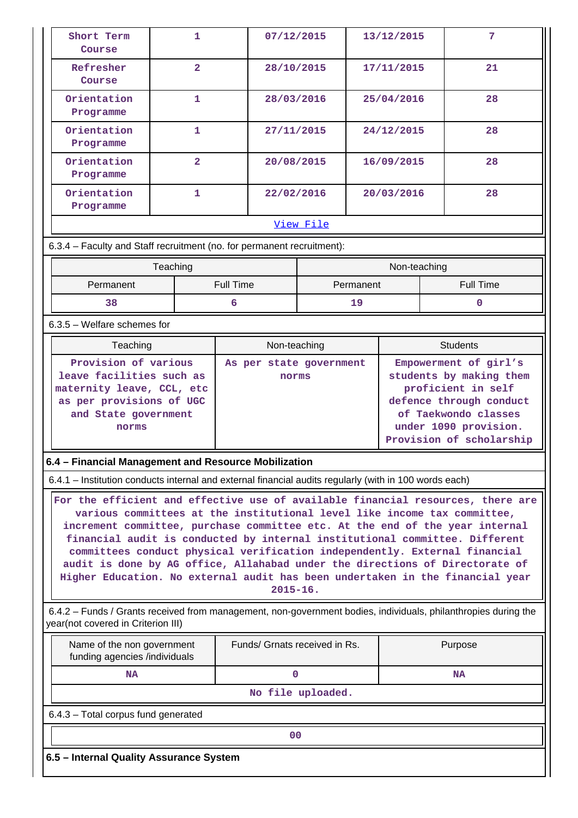| Short Term<br>Course                                                                                                                                                                                                                                                                                                                                                                                                                                                                                                                                                                      | 1                                                                                                         | 07/12/2015                    |                   | 13/12/2015 |                                                                                                                                                       | 7                |  |
|-------------------------------------------------------------------------------------------------------------------------------------------------------------------------------------------------------------------------------------------------------------------------------------------------------------------------------------------------------------------------------------------------------------------------------------------------------------------------------------------------------------------------------------------------------------------------------------------|-----------------------------------------------------------------------------------------------------------|-------------------------------|-------------------|------------|-------------------------------------------------------------------------------------------------------------------------------------------------------|------------------|--|
| Refresher<br>Course                                                                                                                                                                                                                                                                                                                                                                                                                                                                                                                                                                       | $\overline{2}$                                                                                            | 28/10/2015                    |                   | 17/11/2015 |                                                                                                                                                       | 21               |  |
| Orientation<br>Programme                                                                                                                                                                                                                                                                                                                                                                                                                                                                                                                                                                  | 1                                                                                                         | 28/03/2016                    |                   | 25/04/2016 |                                                                                                                                                       | 28               |  |
| Orientation<br>Programme                                                                                                                                                                                                                                                                                                                                                                                                                                                                                                                                                                  | 1                                                                                                         | 27/11/2015                    |                   | 24/12/2015 |                                                                                                                                                       | 28               |  |
| Orientation<br>Programme                                                                                                                                                                                                                                                                                                                                                                                                                                                                                                                                                                  | $\overline{\mathbf{2}}$                                                                                   | 20/08/2015                    |                   | 16/09/2015 |                                                                                                                                                       | 28               |  |
| Orientation<br>Programme                                                                                                                                                                                                                                                                                                                                                                                                                                                                                                                                                                  | 1                                                                                                         | 22/02/2016                    |                   | 20/03/2016 |                                                                                                                                                       | 28               |  |
|                                                                                                                                                                                                                                                                                                                                                                                                                                                                                                                                                                                           |                                                                                                           |                               | View File         |            |                                                                                                                                                       |                  |  |
| 6.3.4 - Faculty and Staff recruitment (no. for permanent recruitment):                                                                                                                                                                                                                                                                                                                                                                                                                                                                                                                    |                                                                                                           |                               |                   |            |                                                                                                                                                       |                  |  |
|                                                                                                                                                                                                                                                                                                                                                                                                                                                                                                                                                                                           | Teaching                                                                                                  |                               |                   |            | Non-teaching                                                                                                                                          |                  |  |
| Permanent                                                                                                                                                                                                                                                                                                                                                                                                                                                                                                                                                                                 |                                                                                                           | <b>Full Time</b>              |                   | Permanent  |                                                                                                                                                       | <b>Full Time</b> |  |
| 38                                                                                                                                                                                                                                                                                                                                                                                                                                                                                                                                                                                        |                                                                                                           | 6                             |                   | 19         |                                                                                                                                                       | O                |  |
| $6.3.5$ – Welfare schemes for                                                                                                                                                                                                                                                                                                                                                                                                                                                                                                                                                             |                                                                                                           |                               |                   |            |                                                                                                                                                       |                  |  |
| Teaching                                                                                                                                                                                                                                                                                                                                                                                                                                                                                                                                                                                  |                                                                                                           | Non-teaching                  |                   |            |                                                                                                                                                       | <b>Students</b>  |  |
| norms                                                                                                                                                                                                                                                                                                                                                                                                                                                                                                                                                                                     | leave facilities such as<br>maternity leave, CCL, etc<br>as per provisions of UGC<br>and State government |                               |                   |            | students by making them<br>proficient in self<br>defence through conduct<br>of Taekwondo classes<br>under 1090 provision.<br>Provision of scholarship |                  |  |
| 6.4 – Financial Management and Resource Mobilization                                                                                                                                                                                                                                                                                                                                                                                                                                                                                                                                      |                                                                                                           |                               |                   |            |                                                                                                                                                       |                  |  |
| 6.4.1 – Institution conducts internal and external financial audits regularly (with in 100 words each)                                                                                                                                                                                                                                                                                                                                                                                                                                                                                    |                                                                                                           |                               |                   |            |                                                                                                                                                       |                  |  |
| For the efficient and effective use of available financial resources, there are<br>various committees at the institutional level like income tax committee,<br>increment committee, purchase committee etc. At the end of the year internal<br>financial audit is conducted by internal institutional committee. Different<br>committees conduct physical verification independently. External financial<br>audit is done by AG office, Allahabad under the directions of Directorate of<br>Higher Education. No external audit has been undertaken in the financial year<br>$2015 - 16.$ |                                                                                                           |                               |                   |            |                                                                                                                                                       |                  |  |
| 6.4.2 - Funds / Grants received from management, non-government bodies, individuals, philanthropies during the<br>year(not covered in Criterion III)                                                                                                                                                                                                                                                                                                                                                                                                                                      |                                                                                                           |                               |                   |            |                                                                                                                                                       |                  |  |
| Name of the non government<br>funding agencies /individuals                                                                                                                                                                                                                                                                                                                                                                                                                                                                                                                               |                                                                                                           | Funds/ Grnats received in Rs. |                   |            |                                                                                                                                                       | Purpose          |  |
| NA                                                                                                                                                                                                                                                                                                                                                                                                                                                                                                                                                                                        |                                                                                                           | $\mathbf 0$                   |                   |            |                                                                                                                                                       | <b>NA</b>        |  |
|                                                                                                                                                                                                                                                                                                                                                                                                                                                                                                                                                                                           |                                                                                                           |                               | No file uploaded. |            |                                                                                                                                                       |                  |  |
| 6.4.3 - Total corpus fund generated                                                                                                                                                                                                                                                                                                                                                                                                                                                                                                                                                       |                                                                                                           |                               |                   |            |                                                                                                                                                       |                  |  |
|                                                                                                                                                                                                                                                                                                                                                                                                                                                                                                                                                                                           |                                                                                                           | 00                            |                   |            |                                                                                                                                                       |                  |  |
| 6.5 - Internal Quality Assurance System                                                                                                                                                                                                                                                                                                                                                                                                                                                                                                                                                   |                                                                                                           |                               |                   |            |                                                                                                                                                       |                  |  |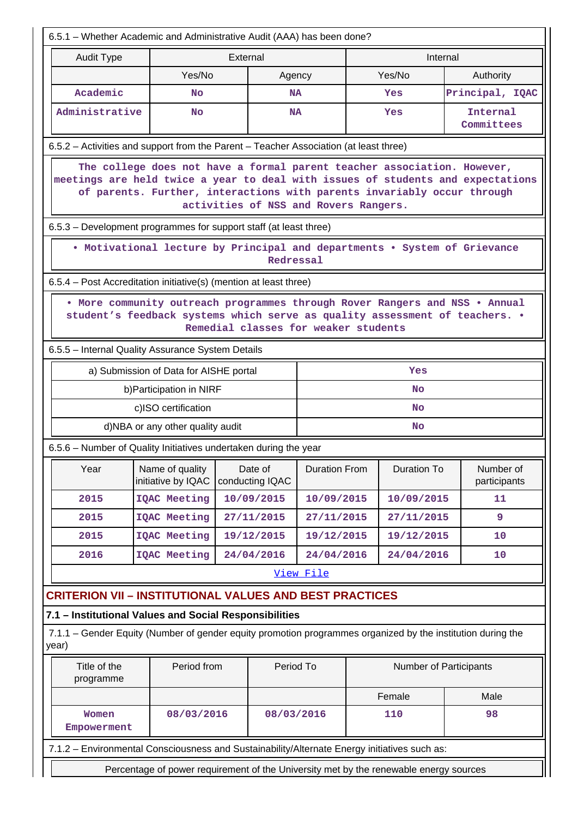| 6.5.1 - Whether Academic and Administrative Audit (AAA) has been done?                                                                                                                                                                                                         |                                                                                                                                                                                                    |                            |            |                      |  |                        |  |                           |
|--------------------------------------------------------------------------------------------------------------------------------------------------------------------------------------------------------------------------------------------------------------------------------|----------------------------------------------------------------------------------------------------------------------------------------------------------------------------------------------------|----------------------------|------------|----------------------|--|------------------------|--|---------------------------|
| <b>Audit Type</b>                                                                                                                                                                                                                                                              |                                                                                                                                                                                                    | External                   |            |                      |  | Internal               |  |                           |
|                                                                                                                                                                                                                                                                                | Yes/No                                                                                                                                                                                             |                            | Agency     |                      |  | Yes/No                 |  | Authority                 |
| Academic                                                                                                                                                                                                                                                                       | No                                                                                                                                                                                                 |                            | <b>NA</b>  |                      |  | Yes                    |  | Principal, IQAC           |
| Administrative                                                                                                                                                                                                                                                                 | <b>No</b>                                                                                                                                                                                          |                            | <b>NA</b>  |                      |  | Yes                    |  | Internal<br>Committees    |
| 6.5.2 – Activities and support from the Parent – Teacher Association (at least three)                                                                                                                                                                                          |                                                                                                                                                                                                    |                            |            |                      |  |                        |  |                           |
| The college does not have a formal parent teacher association. However,<br>meetings are held twice a year to deal with issues of students and expectations<br>of parents. Further, interactions with parents invariably occur through<br>activities of NSS and Rovers Rangers. |                                                                                                                                                                                                    |                            |            |                      |  |                        |  |                           |
| 6.5.3 – Development programmes for support staff (at least three)                                                                                                                                                                                                              |                                                                                                                                                                                                    |                            |            |                      |  |                        |  |                           |
|                                                                                                                                                                                                                                                                                | • Motivational lecture by Principal and departments • System of Grievance                                                                                                                          |                            | Redressal  |                      |  |                        |  |                           |
| 6.5.4 – Post Accreditation initiative(s) (mention at least three)                                                                                                                                                                                                              |                                                                                                                                                                                                    |                            |            |                      |  |                        |  |                           |
|                                                                                                                                                                                                                                                                                | . More community outreach programmes through Rover Rangers and NSS . Annual<br>student's feedback systems which serve as quality assessment of teachers. .<br>Remedial classes for weaker students |                            |            |                      |  |                        |  |                           |
| 6.5.5 - Internal Quality Assurance System Details                                                                                                                                                                                                                              |                                                                                                                                                                                                    |                            |            |                      |  |                        |  |                           |
|                                                                                                                                                                                                                                                                                | a) Submission of Data for AISHE portal                                                                                                                                                             |                            |            |                      |  | Yes                    |  |                           |
|                                                                                                                                                                                                                                                                                | b) Participation in NIRF                                                                                                                                                                           |                            |            |                      |  | <b>No</b>              |  |                           |
|                                                                                                                                                                                                                                                                                | c)ISO certification                                                                                                                                                                                |                            |            |                      |  | <b>No</b>              |  |                           |
|                                                                                                                                                                                                                                                                                | d)NBA or any other quality audit                                                                                                                                                                   |                            |            |                      |  | <b>No</b>              |  |                           |
| 6.5.6 - Number of Quality Initiatives undertaken during the year                                                                                                                                                                                                               |                                                                                                                                                                                                    |                            |            |                      |  |                        |  |                           |
| Year                                                                                                                                                                                                                                                                           | Name of quality<br>initiative by IQAC                                                                                                                                                              | Date of<br>conducting IQAC |            | <b>Duration From</b> |  | <b>Duration To</b>     |  | Number of<br>participants |
| 2015                                                                                                                                                                                                                                                                           | <b>IQAC Meeting</b>                                                                                                                                                                                | 10/09/2015                 |            | 10/09/2015           |  | 10/09/2015             |  | 11                        |
| 2015                                                                                                                                                                                                                                                                           | IQAC Meeting                                                                                                                                                                                       | 27/11/2015                 |            | 27/11/2015           |  | 27/11/2015             |  | 9                         |
| 2015                                                                                                                                                                                                                                                                           | <b>IQAC Meeting</b>                                                                                                                                                                                | 19/12/2015                 |            | 19/12/2015           |  | 19/12/2015             |  | 10                        |
| 2016                                                                                                                                                                                                                                                                           | IQAC Meeting                                                                                                                                                                                       | 24/04/2016                 |            | 24/04/2016           |  | 24/04/2016             |  | 10                        |
|                                                                                                                                                                                                                                                                                |                                                                                                                                                                                                    |                            |            | View File            |  |                        |  |                           |
| <b>CRITERION VII - INSTITUTIONAL VALUES AND BEST PRACTICES</b>                                                                                                                                                                                                                 |                                                                                                                                                                                                    |                            |            |                      |  |                        |  |                           |
| 7.1 - Institutional Values and Social Responsibilities                                                                                                                                                                                                                         |                                                                                                                                                                                                    |                            |            |                      |  |                        |  |                           |
| 7.1.1 – Gender Equity (Number of gender equity promotion programmes organized by the institution during the<br>year)                                                                                                                                                           |                                                                                                                                                                                                    |                            |            |                      |  |                        |  |                           |
| Title of the<br>programme                                                                                                                                                                                                                                                      | Period from                                                                                                                                                                                        |                            | Period To  |                      |  | Number of Participants |  |                           |
|                                                                                                                                                                                                                                                                                |                                                                                                                                                                                                    |                            |            |                      |  | Female                 |  | Male                      |
| Women<br>Empowerment                                                                                                                                                                                                                                                           | 08/03/2016                                                                                                                                                                                         |                            | 08/03/2016 |                      |  | 110                    |  | 98                        |
| 7.1.2 - Environmental Consciousness and Sustainability/Alternate Energy initiatives such as:                                                                                                                                                                                   |                                                                                                                                                                                                    |                            |            |                      |  |                        |  |                           |
|                                                                                                                                                                                                                                                                                | Percentage of power requirement of the University met by the renewable energy sources                                                                                                              |                            |            |                      |  |                        |  |                           |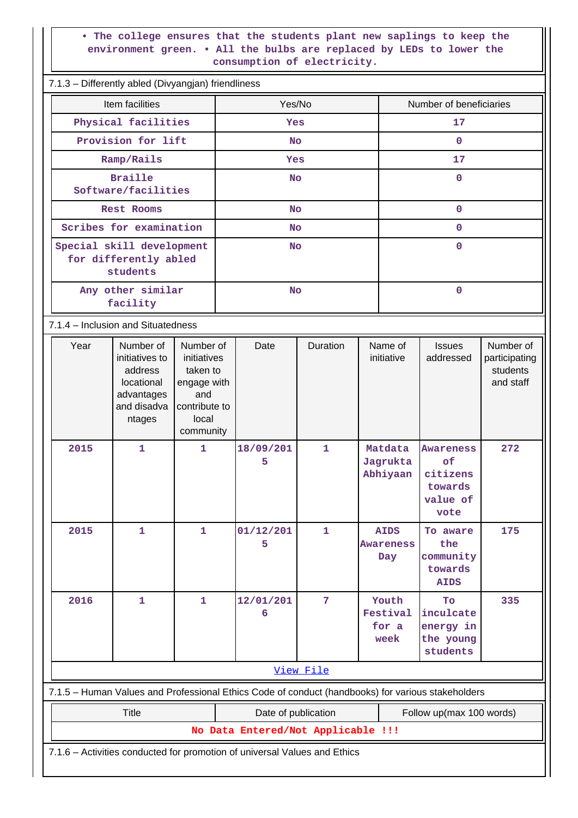### **• The college ensures that the students plant new saplings to keep the environment green. • All the bulbs are replaced by LEDs to lower the consumption of electricity.**

| 7.1.3 - Differently abled (Divyangjan) friendliness                                                 |                                                                                                   |                                    |              |                                    |                                                     |                                                            |                                                     |  |
|-----------------------------------------------------------------------------------------------------|---------------------------------------------------------------------------------------------------|------------------------------------|--------------|------------------------------------|-----------------------------------------------------|------------------------------------------------------------|-----------------------------------------------------|--|
| Item facilities                                                                                     |                                                                                                   | Yes/No                             |              |                                    | Number of beneficiaries                             |                                                            |                                                     |  |
| Physical facilities                                                                                 |                                                                                                   | Yes                                |              |                                    | 17                                                  |                                                            |                                                     |  |
| Provision for lift                                                                                  |                                                                                                   | <b>No</b>                          |              |                                    | $\mathbf{0}$                                        |                                                            |                                                     |  |
| Ramp/Rails                                                                                          |                                                                                                   | Yes                                |              |                                    | 17                                                  |                                                            |                                                     |  |
| <b>Braille</b><br>Software/facilities                                                               |                                                                                                   | <b>No</b>                          |              |                                    | $\mathbf{O}$                                        |                                                            |                                                     |  |
| <b>Rest Rooms</b>                                                                                   |                                                                                                   | <b>No</b>                          |              |                                    |                                                     | $\mathbf 0$                                                |                                                     |  |
| Scribes for examination                                                                             |                                                                                                   | <b>No</b>                          |              |                                    |                                                     | $\mathbf 0$                                                |                                                     |  |
| Special skill development<br>for differently abled<br>students                                      |                                                                                                   | <b>No</b>                          |              |                                    |                                                     | $\mathbf 0$                                                |                                                     |  |
| Any other similar<br>facility                                                                       |                                                                                                   | <b>No</b>                          |              |                                    |                                                     | $\mathbf 0$                                                |                                                     |  |
| 7.1.4 – Inclusion and Situatedness                                                                  |                                                                                                   |                                    |              |                                    |                                                     |                                                            |                                                     |  |
| Number of<br>Year<br>initiatives to<br>address<br>locational<br>advantages<br>and disadva<br>ntages | Number of<br>initiatives<br>taken to<br>engage with<br>and<br>contribute to<br>local<br>community | Date                               | Duration     |                                    | Name of<br><b>Issues</b><br>initiative<br>addressed |                                                            | Number of<br>participating<br>students<br>and staff |  |
| 2015<br>$\mathbf{1}$                                                                                | $\mathbf{1}$                                                                                      | 18/09/201<br>5                     | $\mathbf{1}$ | Matdata<br>Jagrukta<br>Abhiyaan    |                                                     | Awareness<br>of<br>citizens<br>towards<br>value of<br>vote | 272                                                 |  |
| 2015<br>$\mathbf 1$                                                                                 | $\mathbf{1}$                                                                                      | 01/12/201<br>5                     | $\mathbf{1}$ | <b>AIDS</b><br>Awareness<br>Day    |                                                     | To aware<br>the<br>community<br>towards<br><b>AIDS</b>     | 175                                                 |  |
| 2016<br>$\mathbf 1$                                                                                 | 1                                                                                                 | 12/01/201<br>6                     | 7            | Youth<br>Festival<br>for a<br>week |                                                     | To<br>inculcate<br>energy in<br>the young<br>students      | 335                                                 |  |
|                                                                                                     |                                                                                                   |                                    | View File    |                                    |                                                     |                                                            |                                                     |  |
| 7.1.5 - Human Values and Professional Ethics Code of conduct (handbooks) for various stakeholders   |                                                                                                   |                                    |              |                                    |                                                     |                                                            |                                                     |  |
| <b>Title</b>                                                                                        |                                                                                                   | Date of publication                |              |                                    |                                                     | Follow up(max 100 words)                                   |                                                     |  |
|                                                                                                     |                                                                                                   | No Data Entered/Not Applicable !!! |              |                                    |                                                     |                                                            |                                                     |  |
| 7.1.6 - Activities conducted for promotion of universal Values and Ethics                           |                                                                                                   |                                    |              |                                    |                                                     |                                                            |                                                     |  |